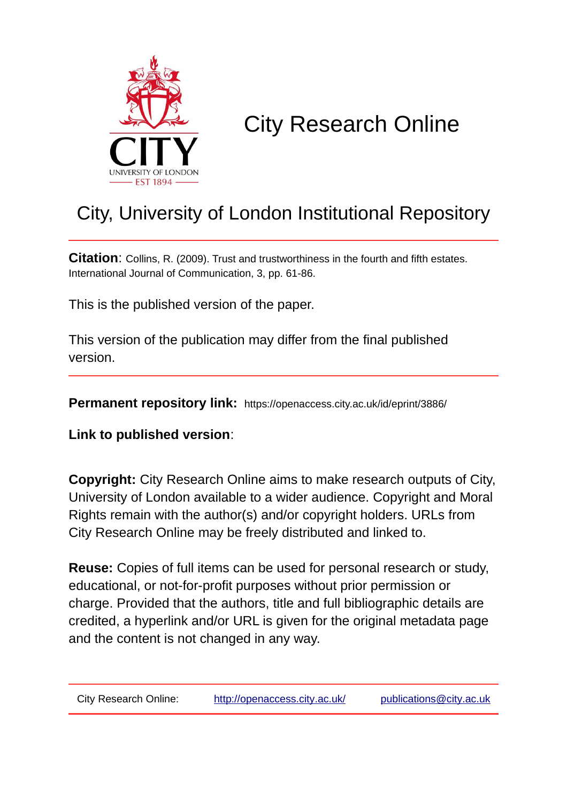

# City Research Online

## City, University of London Institutional Repository

**Citation**: Collins, R. (2009). Trust and trustworthiness in the fourth and fifth estates. International Journal of Communication, 3, pp. 61-86.

This is the published version of the paper.

This version of the publication may differ from the final published version.

**Permanent repository link:** https://openaccess.city.ac.uk/id/eprint/3886/

**Link to published version**:

**Copyright:** City Research Online aims to make research outputs of City, University of London available to a wider audience. Copyright and Moral Rights remain with the author(s) and/or copyright holders. URLs from City Research Online may be freely distributed and linked to.

**Reuse:** Copies of full items can be used for personal research or study, educational, or not-for-profit purposes without prior permission or charge. Provided that the authors, title and full bibliographic details are credited, a hyperlink and/or URL is given for the original metadata page and the content is not changed in any way.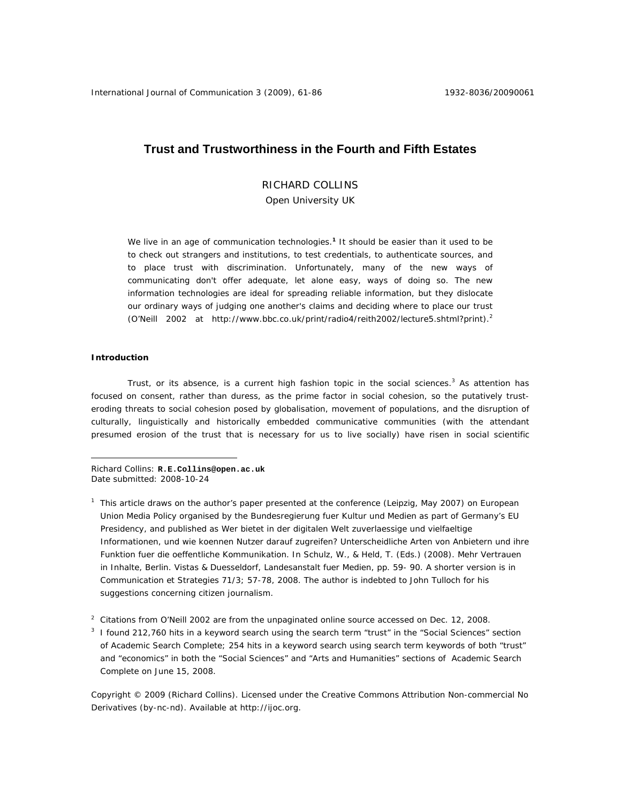## **Trust and Trustworthiness in the Fourth and Fifth Estates**

RICHARD COLLINS Open University UK

We live in an age of communication technologies.**<sup>1</sup>** It should be easier than it used to be to check out strangers and institutions, to test credentials, to authenticate sources, and to place trust with discrimination. Unfortunately, many of the new ways of communicating don't offer adequate, let alone easy, ways of doing so. The new information technologies are ideal for spreading reliable information, but they dislocate our ordinary ways of judging one another's claims and deciding where to place our trust (O'Neill 2002 at http://www.bbc.co.uk/print/radio4/reith2002/lecture5.shtml?print).<sup>2</sup>

## *Introduction*

 $\overline{a}$ 

Trust, or its absence, is a current high fashion topic in the social sciences.<sup>3</sup> As attention has focused on consent, rather than duress, as the prime factor in social cohesion, so the putatively trusteroding threats to social cohesion posed by globalisation, movement of populations, and the disruption of culturally, linguistically and historically embedded communicative communities (with the attendant presumed erosion of the trust that is necessary for us to live socially) have risen in social scientific

Richard Collins: **R.E.Collins@open.ac.uk**  Date submitted: 2008-10-24

<sup>1</sup> This article draws on the author's paper presented at the conference (Leipzig, May 2007) on European Union Media Policy organised by the Bundesregierung fuer Kultur und Medien as part of Germany's EU Presidency, and published as *Wer bietet in der digitalen Welt zuverlaessige und vielfaeltige Informationen, und wie koennen Nutzer darauf zugreifen? Unterscheidliche Arten von Anbietern und ihre Funktion fuer die oeffentliche Kommunikation*. In Schulz, W., & Held, T. (Eds.) (2008). *Mehr Vertrauen in Inhalte*, Berlin. Vistas & Duesseldorf, Landesanstalt fuer Medien, pp. 59- 90. A shorter version is in *Communication et Strategies* 71/3; 57-78, 2008. The author is indebted to John Tulloch for his suggestions concerning citizen journalism.

<sup>2</sup> Citations from O'Neill 2002 are from the unpaginated online source accessed on Dec. 12, 2008.

 $3$  I found 212,760 hits in a keyword search using the search term "trust" in the "Social Sciences" section of Academic Search Complete; 254 hits in a keyword search using search term keywords of both "trust" and "economics" in both the "Social Sciences" and "Arts and Humanities" sections of Academic Search Complete on June 15, 2008.

Copyright © 2009 (Richard Collins). Licensed under the Creative Commons Attribution Non-commercial No Derivatives (by-nc-nd). Available at http://ijoc.org.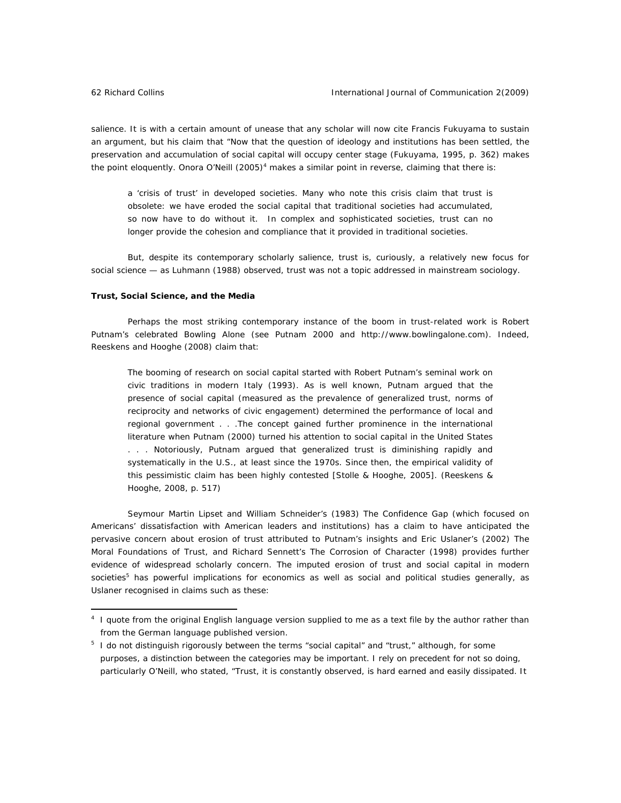$\overline{a}$ 

salience. It is with a certain amount of unease that any scholar will now cite Francis Fukuyama to sustain an argument, but his claim that "Now that the question of ideology and institutions has been settled, the preservation and accumulation of social capital will occupy center stage (Fukuyama, 1995, p. 362) makes the point eloquently. Onora O'Neill  $(2005)^4$  makes a similar point in reverse, claiming that there is:

a 'crisis of trust' in developed societies. Many who note this crisis claim that trust is obsolete: we have eroded the social capital that traditional societies had accumulated, so now have to do without it. In complex and sophisticated societies, trust can no longer provide the cohesion and compliance that it provided in traditional societies.

But, despite its contemporary scholarly salience, trust is, curiously, a relatively new focus for social science — as Luhmann (1988) observed, trust was not a topic addressed in mainstream sociology.

#### *Trust, Social Science, and the Media*

Perhaps the most striking contemporary instance of the boom in trust-related work is Robert Putnam's celebrated *Bowling Alone* (see Putnam 2000 and http://www.bowlingalone.com). Indeed, Reeskens and Hooghe (2008) claim that:

The booming of research on social capital started with Robert Putnam's seminal work on civic traditions in modern Italy (1993). As is well known, Putnam argued that the presence of social capital (measured as the prevalence of generalized trust, norms of reciprocity and networks of civic engagement) determined the performance of local and regional government . . .The concept gained further prominence in the international literature when Putnam (2000) turned his attention to social capital in the United States . . . Notoriously, Putnam argued that generalized trust is diminishing rapidly and systematically in the U.S., at least since the 1970s. Since then, the empirical validity of this pessimistic claim has been highly contested [Stolle & Hooghe, 2005]. (Reeskens & Hooghe, 2008, p. 517)

Seymour Martin Lipset and William Schneider's (1983) *The Confidence Gap* (which focused on Americans' dissatisfaction with American leaders and institutions) has a claim to have anticipated the pervasive concern about erosion of trust attributed to Putnam's insights and Eric Uslaner's (2002) *The Moral Foundations of Trust*, and Richard Sennett's *The Corrosion of Character* (1998) provides further evidence of widespread scholarly concern. The imputed erosion of trust and social capital in modern societies<sup>5</sup> has powerful implications for economics as well as social and political studies generally, as Uslaner recognised in claims such as these:

<sup>&</sup>lt;sup>4</sup> I quote from the original English language version supplied to me as a text file by the author rather than from the German language published version.

<sup>&</sup>lt;sup>5</sup> I do not distinguish rigorously between the terms "social capital" and "trust," although, for some purposes, a distinction between the categories may be important. I rely on precedent for not so doing, particularly O'Neill, who stated, "Trust, it is constantly observed, is hard earned and easily dissipated. It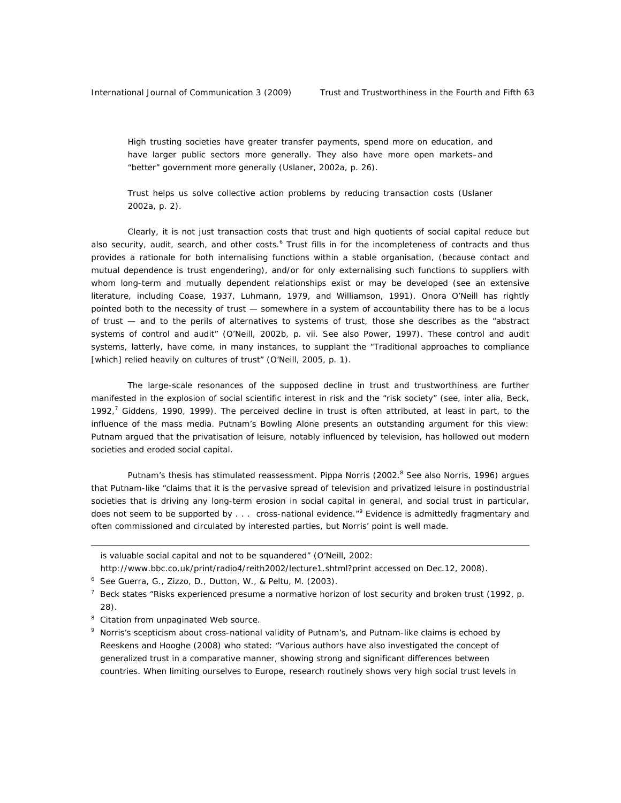High trusting societies have greater transfer payments, spend more on education, and have larger public sectors more generally. They also have more open markets–and "better" government more generally (Uslaner, 2002a, p. 26).

Trust helps us solve collective action problems by reducing transaction costs (Uslaner 2002a, p. 2).

Clearly, it is not just transaction costs that trust and high quotients of social capital reduce but also security, audit, search, and other costs.<sup>6</sup> Trust fills in for the incompleteness of contracts and thus provides a rationale for both internalising functions within a stable organisation, (because contact and mutual dependence is trust engendering), and/or for only externalising such functions to suppliers with whom long-term and mutually dependent relationships exist or may be developed (see an extensive literature, including Coase, 1937, Luhmann, 1979, and Williamson, 1991). Onora O'Neill has rightly pointed both to the necessity of trust — somewhere in a system of accountability there has to be a locus of trust — and to the perils of alternatives to systems of trust, those she describes as the "abstract systems of control and audit" (O'Neill, 2002b, p. vii. See also Power, 1997). These control and audit systems, latterly, have come, in many instances, to supplant the "Traditional approaches to compliance [which] relied heavily on cultures of trust" (O'Neill, 2005, p. 1).

The large-scale resonances of the supposed decline in trust and trustworthiness are further manifested in the explosion of social scientific interest in risk and the "risk society" (see, *inter alia,* Beck, 1992, $^7$  Giddens, 1990, 1999). The perceived decline in trust is often attributed, at least in part, to the influence of the mass media. Putnam's *Bowling Alone* presents an outstanding argument for this view: Putnam argued that the privatisation of leisure, notably influenced by television, has hollowed out modern societies and eroded social capital.

Putnam's thesis has stimulated reassessment. Pippa Norris (2002.<sup>8</sup> See also Norris, 1996) argues that Putnam-like "claims that it is the pervasive spread of television and privatized leisure in postindustrial societies that is driving any long-term erosion in social capital in general, and social trust in particular, does not seem to be supported by . . . cross-national evidence."<sup>9</sup> Evidence is admittedly fragmentary and often commissioned and circulated by interested parties, but Norris' point is well made.

<sup>8</sup> Citation from unpaginated Web source.

is valuable social capital and not to be squandered" (O'Neill, 2002:

http://www.bbc.co.uk/print/radio4/reith2002/lecture1.shtml?print accessed on Dec.12, 2008).

<sup>6</sup> See Guerra, G., Zizzo, D., Dutton, W., & Peltu, M. (2003).

<sup>7</sup> Beck states "Risks experienced presume a *normative horizon* of lost security and broken trust (1992, p. 28).

<sup>&</sup>lt;sup>9</sup> Norris's scepticism about cross-national validity of Putnam's, and Putnam-like claims is echoed by Reeskens and Hooghe (2008) who stated: "Various authors have also investigated the concept of generalized trust in a comparative manner, showing strong and significant differences between countries. When limiting ourselves to Europe, research routinely shows very high social trust levels in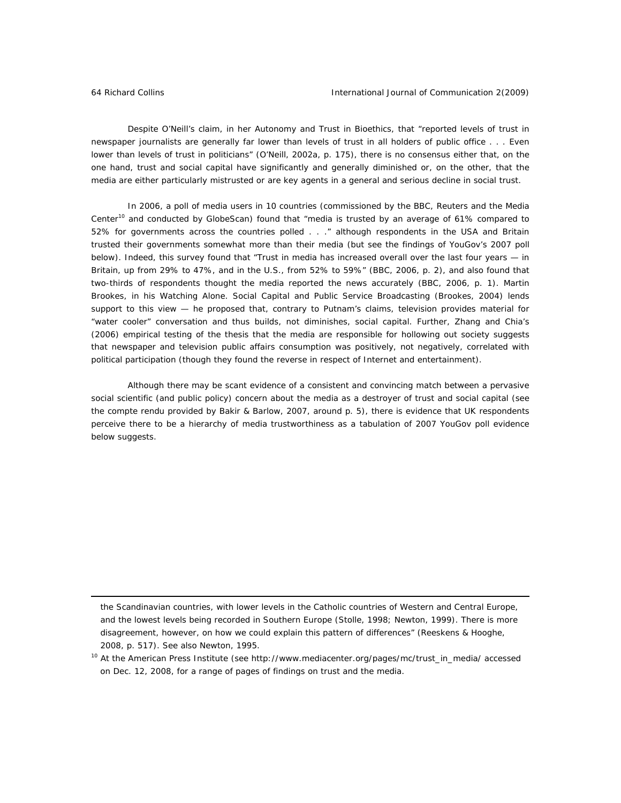$\overline{a}$ 

Despite O'Neill's claim, in her *Autonomy and Trust in Bioethics*, that "reported levels of trust in newspaper journalists are generally far lower than levels of trust in all holders of public office . . . Even lower than levels of trust in politicians" (O'Neill, 2002a, p. 175), there is no consensus either that, on the one hand, trust and social capital have significantly and generally diminished or, on the other, that the media are either particularly mistrusted or are key agents in a general and serious decline in social trust.

In 2006, a poll of media users in 10 countries (commissioned by the BBC, Reuters and the Media Center<sup>10</sup> and conducted by GlobeScan) found that "media is trusted by an average of 61% compared to 52% for governments across the countries polled . . ." although respondents in the USA and Britain trusted their governments somewhat more than their media (but see the findings of YouGov's 2007 poll below). Indeed, this survey found that "Trust in media has increased overall over the last four years — in Britain, up from 29% to 47%, and in the U.S., from 52% to 59%" (BBC, 2006, p. 2), and also found that two-thirds of respondents thought the media reported the news accurately (BBC, 2006, p. 1). Martin Brookes, in his *Watching Alone. Social Capital and Public Service Broadcasting* (Brookes, 2004) lends support to this view — he proposed that, contrary to Putnam's claims, television provides material for "water cooler" conversation and thus builds, not diminishes, social capital. Further, Zhang and Chia's (2006) empirical testing of the thesis that the media are responsible for hollowing out society suggests that newspaper and television public affairs consumption was positively, not negatively, correlated with political participation (though they found the reverse in respect of Internet and entertainment).

Although there may be scant evidence of a consistent and convincing match between a pervasive social scientific (and public policy) concern about the media as a destroyer of trust and social capital (see the *compte rendu* provided by Bakir & Barlow, 2007, around p. 5), there is evidence that UK respondents perceive there to be a hierarchy of media trustworthiness as a tabulation of 2007 YouGov poll evidence below suggests.

the Scandinavian countries, with lower levels in the Catholic countries of Western and Central Europe, and the lowest levels being recorded in Southern Europe (Stolle, 1998; Newton, 1999). There is more disagreement, however, on how we could explain this pattern of differences" (Reeskens & Hooghe, 2008, p. 517). See also Newton, 1995.

<sup>&</sup>lt;sup>10</sup> At the American Press Institute (see http://www.mediacenter.org/pages/mc/trust\_in\_media/ accessed on Dec. 12, 2008, for a range of pages of findings on trust and the media.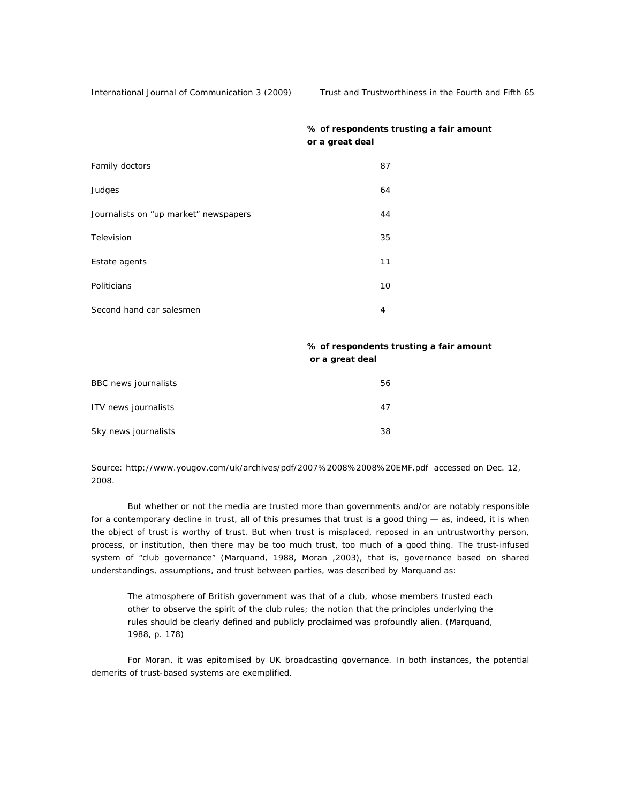International Journal of Communication 3 (2009) Trust and Trustworthiness in the Fourth and Fifth 65

|                                       | or a great deal |
|---------------------------------------|-----------------|
| Family doctors                        | 87              |
| Judges                                | 64              |
| Journalists on "up market" newspapers | 44              |
| Television                            | 35              |
| Estate agents                         | 11              |
| Politicians                           | 10              |
| Second hand car salesmen              | $\overline{4}$  |

## *% of respondents trusting a fair amount*

## *% of respondents trusting a fair amount or a great deal*

| BBC news journalists | 56 |
|----------------------|----|
| ITV news journalists | 47 |
| Sky news journalists | 38 |

Source: http://www.yougov.com/uk/archives/pdf/2007%2008%2008%20EMF.pdf accessed on Dec. 12, 2008.

But whether or not the media are trusted more than governments and/or are notably responsible for a contemporary decline in trust, all of this presumes that trust is a good thing - as, indeed, it is when the object of trust is worthy of trust. But when trust is misplaced, reposed in an untrustworthy person, process, or institution, then there may be too much trust, too much of a good thing. The trust-infused system of "club governance" (Marquand, 1988, Moran ,2003), that is, governance based on shared understandings, assumptions, and trust between parties, was described by Marquand as:

The atmosphere of British government was that of a club, whose members trusted each other to observe the spirit of the club rules; the notion that the principles underlying the rules should be clearly defined and publicly proclaimed was profoundly alien. (Marquand, 1988, p. 178)

For Moran, it was epitomised by UK broadcasting governance. In both instances, the potential demerits of trust-based systems are exemplified.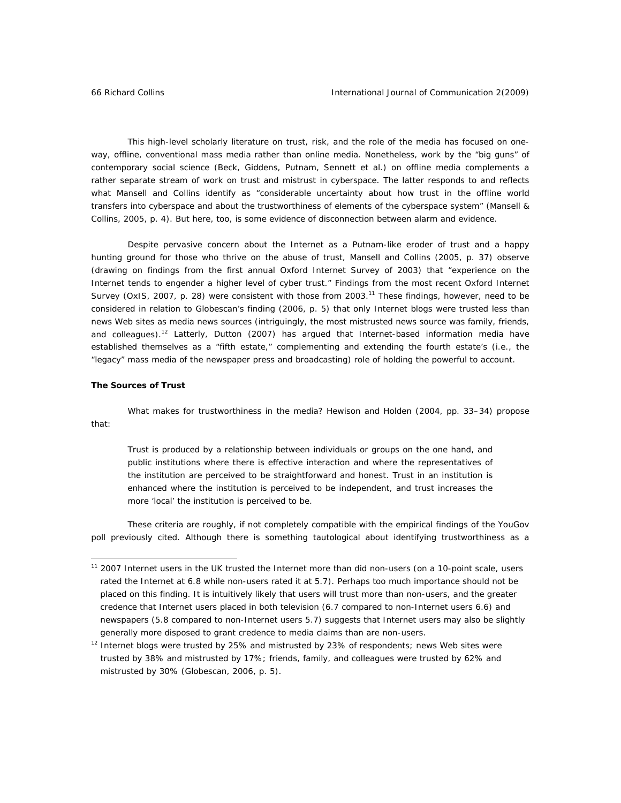This high-level scholarly literature on trust, risk, and the role of the media has focused on oneway, offline, conventional mass media rather than online media. Nonetheless, work by the "big guns" of contemporary social science (Beck, Giddens, Putnam, Sennett *et al.*) on offline media complements a rather separate stream of work on trust and mistrust in cyberspace. The latter responds to and reflects what Mansell and Collins identify as "considerable uncertainty about how trust in the offline world transfers into cyberspace and about the trustworthiness of elements of the cyberspace system" (Mansell & Collins, 2005, p. 4). But here, too, is some evidence of disconnection between alarm and evidence.

Despite pervasive concern about the Internet as a Putnam-like eroder of trust and a happy hunting ground for those who thrive on the abuse of trust, Mansell and Collins (2005, p. 37) observe (drawing on findings from the first annual Oxford Internet Survey of 2003) that "experience on the Internet tends to engender a higher level of cyber trust." Findings from the most recent Oxford Internet Survey (OxIS, 2007, p. 28) were consistent with those from 2003.<sup>11</sup> These findings, however, need to be considered in relation to Globescan's finding (2006, p. 5) that only Internet blogs were trusted less than news Web sites as media news sources (intriguingly, the most mistrusted news source was family, friends, and colleagues).<sup>12</sup> Latterly, Dutton (2007) has argued that Internet-based information media have established themselves as a "fifth estate," complementing and extending the fourth estate's (i.e., the "legacy" mass media of the newspaper press and broadcasting) role of holding the powerful to account.

#### *The Sources of Trust*

 $\overline{a}$ 

What makes for trustworthiness in the media? Hewison and Holden (2004, pp. 33–34) propose that:

Trust is produced by a relationship between individuals or groups on the one hand, and public institutions where there is effective interaction and where the representatives of the institution are perceived to be straightforward and honest. Trust in an institution is enhanced where the institution is perceived to be independent, and trust increases the more 'local' the institution is perceived to be.

These criteria are roughly, if not completely compatible with the empirical findings of the YouGov poll previously cited. Although there is something tautological about identifying trustworthiness as a

<sup>&</sup>lt;sup>11</sup> 2007 Internet users in the UK trusted the Internet more than did non-users (on a 10-point scale, users rated the Internet at 6.8 while non-users rated it at 5.7). Perhaps too much importance should not be placed on this finding. It is intuitively likely that users will trust more than non-users, and the greater credence that Internet users placed in both television (6.7 compared to non-Internet users 6.6) and newspapers (5.8 compared to non-Internet users 5.7) suggests that Internet users may also be slightly generally more disposed to grant credence to media claims than are non-users.

<sup>&</sup>lt;sup>12</sup> Internet blogs were trusted by 25% and mistrusted by 23% of respondents; news Web sites were trusted by 38% and mistrusted by 17%; friends, family, and colleagues were trusted by 62% and mistrusted by 30% (Globescan, 2006, p. 5).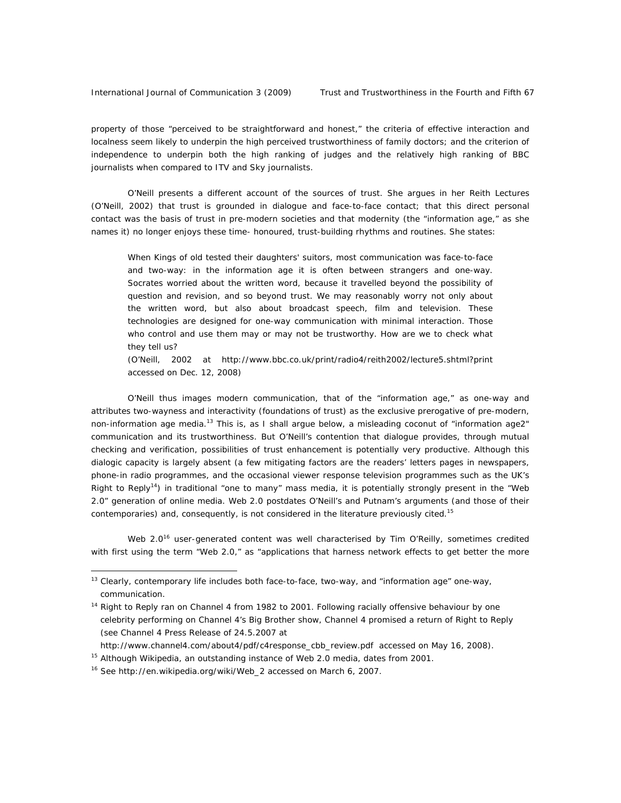property of those "perceived to be straightforward and honest," the criteria of effective interaction and localness seem likely to underpin the high perceived trustworthiness of family doctors; and the criterion of independence to underpin both the high ranking of judges and the relatively high ranking of BBC journalists when compared to ITV and Sky journalists.

O'Neill presents a different account of the sources of trust. She argues in her Reith Lectures (O'Neill, 2002) that trust is grounded in dialogue and face-to-face contact; that this direct personal contact was the basis of trust in pre-modern societies and that modernity (the "information age," as she names it) no longer enjoys these time- honoured, trust-building rhythms and routines. She states:

When Kings of old tested their daughters' suitors, most communication was face-to-face and two-way: in the information age it is often between strangers and one-way. Socrates worried about the written word, because it travelled beyond the possibility of question and revision, and so beyond trust. We may reasonably worry not only about the written word, but also about broadcast speech, film and television. These technologies are designed for one-way communication with minimal interaction. Those who control and use them may or may not be trustworthy. How are we to check what they tell us?

(O'Neill, 2002 at http://www.bbc.co.uk/print/radio4/reith2002/lecture5.shtml?print accessed on Dec. 12, 2008)

O'Neill thus images modern communication, that of the "information age," as one-way and attributes two-wayness and interactivity (foundations of trust) as the exclusive prerogative of pre-modern, non-information age media.<sup>13</sup> This is, as I shall argue below, a misleading coconut of "information age2" communication and its trustworthiness. But O'Neill's contention that dialogue provides, through mutual checking and verification, possibilities of trust enhancement is potentially very productive. Although this dialogic capacity is largely absent (a few mitigating factors are the readers' letters pages in newspapers, phone-in radio programmes, and the occasional viewer response television programmes such as the UK's *Right to Reply<sup>14</sup>*) in traditional "one to many" mass media, it is potentially strongly present in the "Web 2.0" generation of online media. Web 2.0 postdates O'Neill's and Putnam's arguments (and those of their contemporaries) and, consequently, is not considered in the literature previously cited.<sup>15</sup>

Web 2.0<sup>16</sup> user-generated content was well characterised by Tim O'Reilly, sometimes credited with first using the term "Web 2.0," as "applications that harness network effects to get better the more

<sup>&</sup>lt;sup>13</sup> Clearly, contemporary life includes both face-to-face, two-way, and "information age" one-way, communication.

<sup>14</sup> *Right to Reply* ran on Channel 4 from 1982 to 2001. Following racially offensive behaviour by one celebrity performing on Channel 4's *Big Brother* show, Channel 4 promised a return of *Right to Reply*  (see Channel 4 Press Release of 24.5.2007 at

http://www.channel4.com/about4/pdf/c4response\_cbb\_review.pdf accessed on May 16, 2008).

<sup>15</sup> Although *Wikipedia*, an outstanding instance of Web 2.0 media, dates from 2001.

<sup>&</sup>lt;sup>16</sup> See http://en.wikipedia.org/wiki/Web\_2 accessed on March 6, 2007.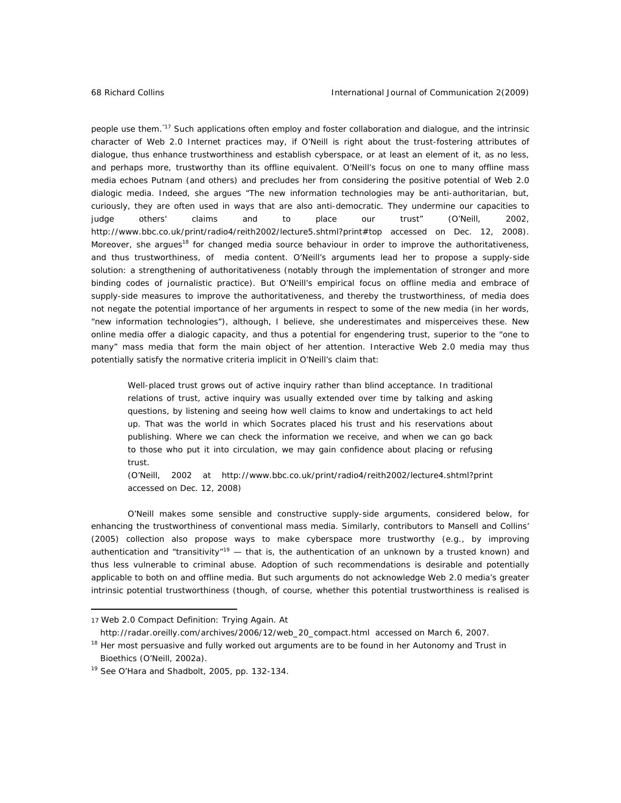people use them."17 Such applications often employ and foster collaboration and dialogue, and the intrinsic character of Web 2.0 Internet practices may, if O'Neill is right about the trust-fostering attributes of dialogue, thus enhance trustworthiness and establish cyberspace, or at least an element of it, as no less, and perhaps more, trustworthy than its offline equivalent. O'Neill's focus on one to many offline mass media echoes Putnam (and others) and precludes her from considering the positive potential of Web 2.0 dialogic media. Indeed, she argues "The new information technologies may be anti-authoritarian, but, curiously, they are often used in ways that are also anti-democratic. They undermine our capacities to judge others' claims and to place our trust" (O'Neill, 2002, http://www.bbc.co.uk/print/radio4/reith2002/lecture5.shtml?print#top accessed on Dec. 12, 2008). Moreover, she argues<sup>18</sup> for changed media source behaviour in order to improve the authoritativeness, and thus trustworthiness, of media content. O'Neill's arguments lead her to propose a supply-side solution: a strengthening of authoritativeness (notably through the implementation of stronger and more binding codes of journalistic practice). But O'Neill's empirical focus on offline media and embrace of supply-side measures to improve the authoritativeness, and thereby the trustworthiness, of media does not negate the potential importance of her arguments in respect to some of the new media (in her words, "new information technologies"), although, I believe, she underestimates and misperceives these. New online media offer a dialogic capacity, and thus a potential for engendering trust, superior to the "one to many" mass media that form the main object of her attention. Interactive Web 2.0 media may thus potentially satisfy the normative criteria implicit in O'Neill's claim that:

Well-placed trust grows out of active inquiry rather than blind acceptance. In traditional relations of trust, active inquiry was usually extended over time by talking and asking questions, by listening and seeing how well claims to know and undertakings to act held up. That was the world in which Socrates placed his trust and his reservations about publishing. Where we can check the information we receive, and when we can go back to those who put it into circulation, we may gain confidence about placing or refusing trust.

(O'Neill, 2002 at http://www.bbc.co.uk/print/radio4/reith2002/lecture4.shtml?print accessed on Dec. 12, 2008)

O'Neill makes some sensible and constructive supply-side arguments, considered below, for enhancing the trustworthiness of conventional mass media. Similarly, contributors to Mansell and Collins' (2005) collection also propose ways to make cyberspace more trustworthy (e.g., by improving authentication and "transitivity"<sup>19</sup> - that is, the authentication of an unknown by a trusted known) and thus less vulnerable to criminal abuse. Adoption of such recommendations is desirable and potentially applicable to both on and offline media. But such arguments do not acknowledge Web 2.0 media's greater intrinsic potential trustworthiness (though, of course, whether this potential trustworthiness is realised is

<sup>17</sup> *Web 2.0 Compact Definition: Trying Again.* At

http://radar.oreilly.com/archives/2006/12/web\_20\_compact.html accessed on March 6, 2007.

<sup>18</sup> Her most persuasive and fully worked out arguments are to be found in her *Autonomy and Trust in Bioethics* (O'Neill, 2002a).

<sup>19</sup> See O'Hara and Shadbolt, 2005, pp. 132-134.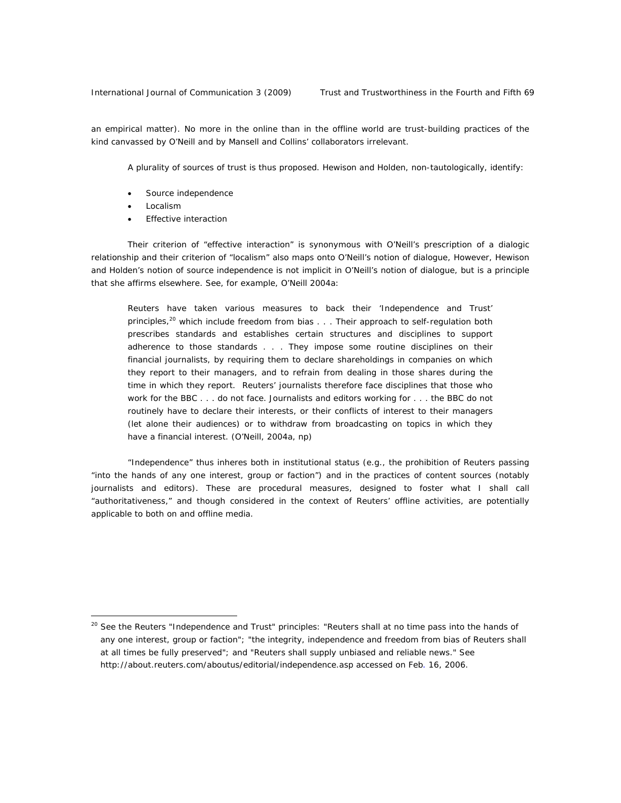an empirical matter). No more in the online than in the offline world are trust-building practices of the kind canvassed by O'Neill and by Mansell and Collins' collaborators irrelevant.

A plurality of sources of trust is thus proposed. Hewison and Holden, non-tautologically, identify:

- Source independence
- Localism

 $\overline{a}$ 

**Effective interaction** 

Their criterion of "effective interaction" is synonymous with O'Neill's prescription of a dialogic relationship and their criterion of "localism" also maps onto O'Neill's notion of dialogue, However, Hewison and Holden's notion of source independence is not implicit in O'Neill's notion of dialogue, but is a principle that she affirms elsewhere. See, for example, O'Neill 2004a:

Reuters have taken various measures to back their 'Independence and Trust' principles,<sup>20</sup> which include freedom from bias  $\ldots$  Their approach to self-regulation both prescribes standards and establishes certain structures and disciplines to support adherence to those standards . . . They impose some routine disciplines on their financial journalists, by requiring them to declare shareholdings in companies on which they report to their managers, and to refrain from dealing in those shares during the time in which they report. Reuters' journalists therefore face disciplines that those who work for the BBC . . . do not face. Journalists and editors working for . . . the BBC do not routinely have to declare their interests, or their conflicts of interest to their managers (let alone their audiences) or to withdraw from broadcasting on topics in which they have a financial interest. (O'Neill, 2004a, np)

"Independence" thus inheres both in institutional status (e.g., the prohibition of Reuters passing "into the hands of any one interest, group or faction") and in the practices of content sources (notably journalists and editors). These are procedural measures, designed to foster what I shall call "authoritativeness," and though considered in the context of Reuters' offline activities, are potentially applicable to both on and offline media.

<sup>&</sup>lt;sup>20</sup> See the Reuters "Independence and Trust" principles: "Reuters shall at no time pass into the hands of any one interest, group or faction"; "the integrity, independence and freedom from bias of Reuters shall at all times be fully preserved"; and "Reuters shall supply unbiased and reliable news." See http://about.reuters.com/aboutus/editorial/independence.asp accessed on Feb. 16, 2006.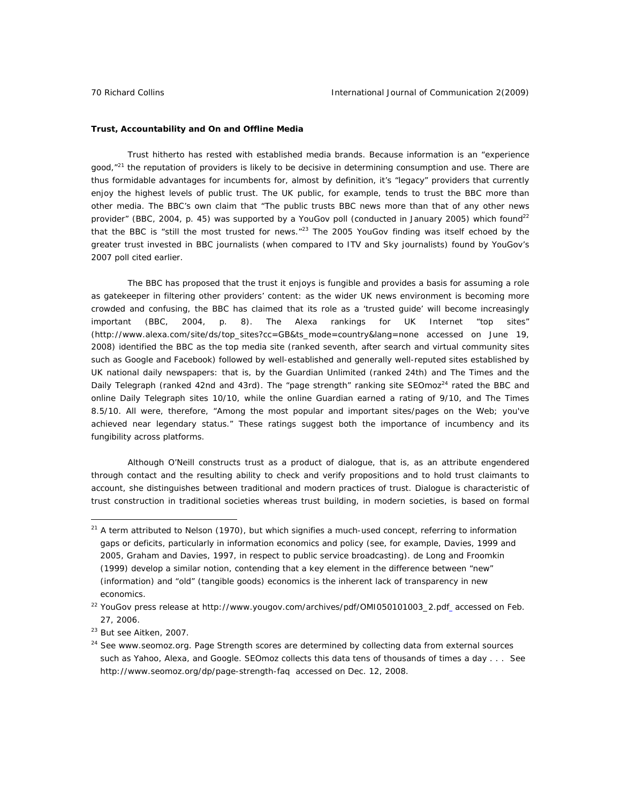#### *Trust, Accountability and On and Offline Media*

Trust hitherto has rested with established media brands. Because information is an "experience good,<sup>"21</sup> the reputation of providers is likely to be decisive in determining consumption and use. There are thus formidable advantages for incumbents for, almost by definition, it's "legacy" providers that currently enjoy the highest levels of public trust. The UK public, for example, tends to trust the BBC more than other media. The BBC's own claim that "The public trusts BBC news more than that of any other news provider" (BBC, 2004, p. 45) was supported by a YouGov poll (conducted in January 2005) which found<sup>22</sup> that the BBC is "still the most trusted for news."<sup>23</sup> The 2005 YouGov finding was itself echoed by the greater trust invested in BBC journalists (when compared to ITV and Sky journalists) found by YouGov's 2007 poll cited earlier.

The BBC has proposed that the trust it enjoys is fungible and provides a basis for assuming a role as gatekeeper in filtering other providers' content: as the wider UK news environment is becoming more crowded and confusing, the BBC has claimed that its role as a 'trusted guide' will become increasingly important (BBC, 2004, p. 8). The Alexa rankings for UK Internet "top sites" (http://www.alexa.com/site/ds/top\_sites?cc=GB&ts\_mode=country&lang=none accessed on June 19, 2008) identified the BBC as the top media site (ranked seventh, after search and virtual community sites such as Google and Facebook) followed by well-established and generally well-reputed sites established by UK national daily newspapers: that is, by the *Guardian Unlimited* (ranked 24th) and *The Times* and the Daily Telegraph (ranked 42nd and 43rd). The "page strength" ranking site SEOmoz<sup>24</sup> rated the BBC and online *Daily Telegraph* sites 10/10, while the online *Guardian* earned a rating of 9/10, and *The Times* 8.5/10. All were, therefore, "Among the most popular and important sites/pages on the Web; you've achieved near legendary status." These ratings suggest both the importance of incumbency and its fungibility across platforms.

Although O'Neill constructs trust as a product of dialogue, that is, as an attribute engendered through contact and the resulting ability to check and verify propositions and to hold trust claimants to account, she distinguishes between traditional and modern practices of trust. Dialogue is characteristic of trust construction in traditional societies whereas trust building, in modern societies, is based on formal

 $^{21}$  A term attributed to Nelson (1970), but which signifies a much-used concept, referring to information gaps or deficits, particularly in information economics and policy (see, for example, Davies, 1999 and 2005, Graham and Davies, 1997, in respect to public service broadcasting). de Long and Froomkin (1999) develop a similar notion, contending that a key element in the difference between "new" (information) and "old" (tangible goods) economics is the inherent lack of transparency in new economics.

<sup>&</sup>lt;sup>22</sup> YouGov press release at http://www.yougov.com/archives/pdf/OMI050101003\_2.pdf accessed on Feb. 27, 2006.

<sup>&</sup>lt;sup>23</sup> But see Aitken, 2007.

<sup>&</sup>lt;sup>24</sup> See www.seomoz.org. Page Strength scores are determined by collecting data from external sources such as Yahoo, Alexa, and Google. SEOmoz collects this data tens of thousands of times a day . . . See http://www.seomoz.org/dp/page-strength-faq accessed on Dec. 12, 2008.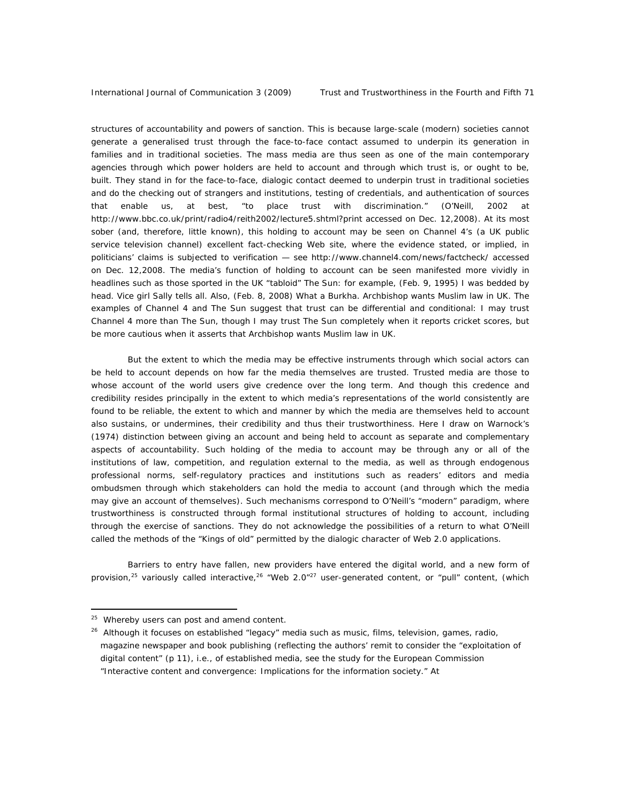structures of accountability and powers of sanction. This is because large-scale (modern) societies cannot generate a generalised trust through the face-to-face contact assumed to underpin its generation in families and in traditional societies. The mass media are thus seen as one of the main contemporary agencies through which power holders are held to account and through which trust is, or ought to be, built. They stand in for the face-to-face, dialogic contact deemed to underpin trust in traditional societies and do the checking out of strangers and institutions, testing of credentials, and authentication of sources that enable us, at best, "to place trust with discrimination." (O'Neill, 2002 at http://www.bbc.co.uk/print/radio4/reith2002/lecture5.shtml?print accessed on Dec. 12,2008). At its most sober (and, therefore, little known), this holding to account may be seen on Channel 4's (a UK public service television channel) excellent fact-checking Web site, where the evidence stated, or implied, in politicians' claims is subjected to verification — see http://www.channel4.com/news/factcheck/ accessed on Dec. 12,2008. The media's function of holding to account can be seen manifested more vividly in headlines such as those sported in the UK "tabloid" *The Sun*: for example, (Feb. 9, 1995) *I was bedded by head. Vice girl Sally tells all.* Also, (Feb. 8, 2008) *What a Burkha. Archbishop wants Muslim law in UK.* The examples of Channel 4 and *The Sun* suggest that trust can be differential and conditional: I may trust Channel 4 more than *The Sun*, though I may trust *The Sun* completely when it reports cricket scores, but be more cautious when it asserts that *Archbishop wants Muslim law in UK.* 

But the extent to which the media may be effective instruments through which social actors can be held to account depends on how far the media themselves are trusted. Trusted media are those to whose account of the world users give credence over the long term. And though this credence and credibility resides principally in the extent to which media's representations of the world consistently are found to be reliable, the extent to which and manner by which the media are themselves held to account also sustains, or undermines, their credibility and thus their trustworthiness. Here I draw on Warnock's (1974) distinction between giving an account and being held to account as separate and complementary aspects of accountability. Such holding of the media to account may be through any or all of the institutions of law, competition, and regulation external to the media, as well as through endogenous professional norms, self-regulatory practices and institutions such as readers' editors and media ombudsmen through which stakeholders can hold the media to account (and through which the media may give an account of themselves). Such mechanisms correspond to O'Neill's "modern" paradigm, where trustworthiness is constructed through formal institutional structures of holding to account, including through the exercise of sanctions. They do not acknowledge the possibilities of a return to what O'Neill called the methods of the "Kings of old" permitted by the dialogic character of Web 2.0 applications.

Barriers to entry have fallen, new providers have entered the digital world, and a new form of provision,<sup>25</sup> variously called interactive,<sup>26</sup> "Web 2.0"<sup>27</sup> user-generated content, or "pull" content, (which

 $25$  Whereby users can post and amend content.

<sup>&</sup>lt;sup>26</sup> Although it focuses on established "legacy" media such as music, films, television, games, radio, magazine newspaper and book publishing (reflecting the authors' remit to consider the "exploitation of digital content" (p 11), i.e., of established media, see the study for the European Commission "*Interactive content and convergence: Implications for the information society."* At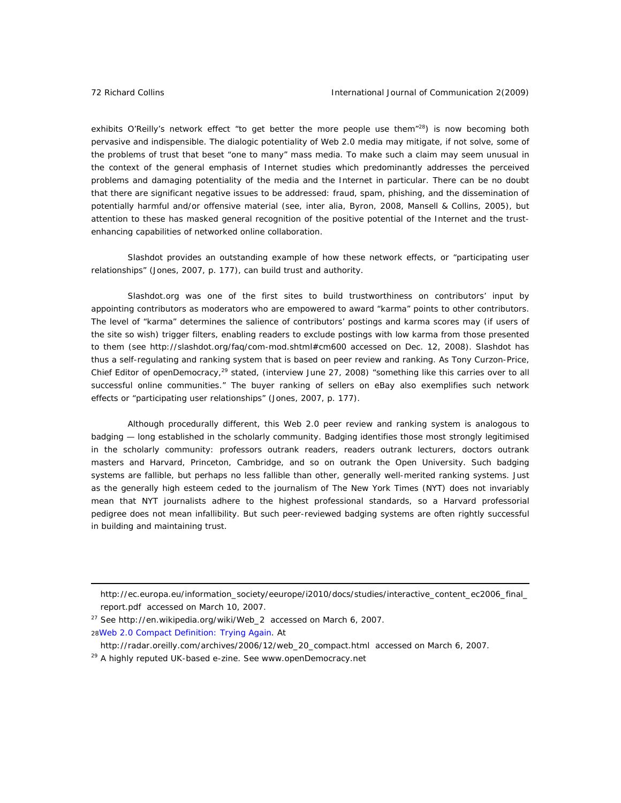exhibits O'Reilly's network effect "to get better the more people use them"<sup>28</sup>) is now becoming both pervasive and indispensible. The dialogic potentiality of Web 2.0 media may mitigate, if not solve, some of the problems of trust that beset "one to many" mass media. To make such a claim may seem unusual in the context of the general emphasis of Internet studies which predominantly addresses the perceived problems and damaging potentiality of the media and the Internet in particular. There can be no doubt that there are significant negative issues to be addressed: fraud, spam, phishing, and the dissemination of potentially harmful and/or offensive material (see, *inter alia*, Byron, 2008, Mansell & Collins, 2005), but attention to these has masked general recognition of the positive potential of the Internet and the trustenhancing capabilities of networked online collaboration.

*Slashdot* provides an outstanding example of how these network effects, or "participating user relationships" (Jones, 2007, p. 177), can build trust and authority.

*Slashdot.org* was one of the first sites to build trustworthiness on contributors' input by appointing contributors as moderators who are empowered to award "karma" points to other contributors. The level of "karma" determines the salience of contributors' postings and karma scores may (if users of the site so wish) trigger filters, enabling readers to exclude postings with low karma from those presented to them (see http://slashdot.org/faq/com-mod.shtml#cm600 accessed on Dec. 12, 2008). *Slashdot* has thus a self-regulating and ranking system that is based on peer review and ranking. As Tony Curzon-Price, Chief Editor of *openDemocracy*,<sup>29</sup> stated, (interview June 27, 2008) "something like this carries over to all successful online communities." The buyer ranking of sellers on eBay also exemplifies such network effects or "participating user relationships" (Jones, 2007, p. 177).

Although procedurally different, this Web 2.0 peer review and ranking system is analogous to badging — long established in the scholarly community. Badging identifies those most strongly legitimised in the scholarly community: professors outrank readers, readers outrank lecturers, doctors outrank masters and Harvard, Princeton, Cambridge, and so on outrank the Open University. Such badging systems are fallible, but perhaps no less fallible than other, generally well-merited ranking systems. Just as the generally high esteem ceded to the journalism of *The New York Times* (NYT) does not invariably mean that NYT journalists adhere to the highest professional standards, so a Harvard professorial pedigree does not mean infallibility. But such peer-reviewed badging systems are often rightly successful in building and maintaining trust.

<sup>27</sup> See http://en.wikipedia.org/wiki/Web\_2 accessed on March 6, 2007.

28*[Web 2.0 Compact Definition: Trying Again.](http://radar.oreilly.com/archives/2006/12/web_20_compact.html)* At

http://ec.europa.eu/information\_society/eeurope/i2010/docs/studies/interactive\_content\_ec2006\_final report.pdf accessed on March 10, 2007.

http://radar.oreilly.com/archives/2006/12/web\_20\_compact.html accessed on March 6, 2007.

<sup>&</sup>lt;sup>29</sup> A highly reputed UK-based e-zine. See www.openDemocracy.net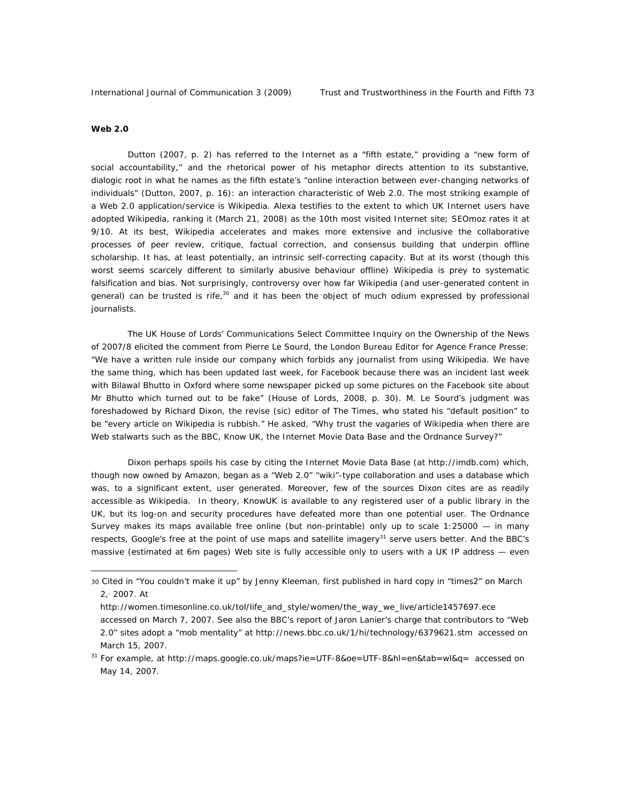#### *Web 2.0*

 $\overline{a}$ 

Dutton (2007, p. 2) has referred to the Internet as a "fifth estate," providing a "new form of social accountability," and the rhetorical power of his metaphor directs attention to its substantive, dialogic root in what he names as the fifth estate's "online interaction between ever-changing networks of individuals" (Dutton, 2007, p. 16): an interaction characteristic of Web 2.0. The most striking example of a Web 2.0 application/service is *Wikipedia*. Alexa testifies to the extent to which UK Internet users have adopted *Wikipedia,* ranking it (March 21, 2008) as the 10th most visited Internet site; SEOmoz rates it at 9/10. At its best, *Wikipedia* accelerates and makes more extensive and inclusive the collaborative processes of peer review, critique, factual correction, and consensus building that underpin offline scholarship. It has, at least potentially, an intrinsic self-correcting capacity. But at its worst (though this worst seems scarcely different to similarly abusive behaviour offline) *Wikipedia* is prey to systematic falsification and bias. Not surprisingly, controversy over how far *Wikipedia* (and user-generated content in general) can be trusted is rife, $30$  and it has been the object of much odium expressed by professional journalists.

The UK House of Lords' Communications Select Committee Inquiry on the Ownership of the News of 2007/8 elicited the comment from Pierre Le Sourd, the London Bureau Editor for *Agence France Presse*: "We have a written rule inside our company which forbids any journalist from using Wikipedia. We have the same thing, which has been updated last week, for Facebook because there was an incident last week with Bilawal Bhutto in Oxford where some newspaper picked up some pictures on the Facebook site about Mr Bhutto which turned out to be fake" (House of Lords, 2008, p. 30). M. Le Sourd's judgment was foreshadowed by Richard Dixon, the revise (*sic*) editor of *The Times*, who stated his "default position" to be "every article on Wikipedia is rubbish." He asked, "Why trust the vagaries of Wikipedia when there are Web stalwarts such as the BBC, Know UK, the Internet Movie Data Base and the Ordnance Survey?"

Dixon perhaps spoils his case by citing the *Internet Movie Data Base* (at http://imdb.com) which, though now owned by Amazon, began as a "Web 2.0" "wiki"-type collaboration and uses a database which was, to a significant extent, user generated. Moreover, few of the sources Dixon cites are as readily accessible as *Wikipedia*. In theory, *KnowUK* is available to any registered user of a public library in the UK, but its log-on and security procedures have defeated more than one potential user. *The Ordnance Survey* makes its maps available free online (but non-printable) only up to scale 1:25000 — in many respects, *Google*'s free at the point of use maps and satellite imagery<sup>31</sup> serve users better. And the BBC's massive (estimated at 6m pages) Web site is fully accessible only to users with a UK IP address — even

<sup>30</sup> Cited in "*You couldn't make it up*" by Jenny Kleeman, first published in hard copy in "*times2*" on March 2,, 2007. At

http://women.timesonline.co.uk/tol/life\_and\_style/women/the\_way\_we\_live/article1457697.ece accessed on March 7, 2007. See also the BBC's report of Jaron Lanier's charge that contributors to "Web 2.0" sites adopt a "mob mentality" at http://news.bbc.co.uk/1/hi/technology/6379621.stm accessed on March 15, 2007.

<sup>31</sup> For example, at http://maps.google.co.uk/maps?ie=UTF-8&oe=UTF-8&hl=en&tab=wl&q= accessed on May 14, 2007.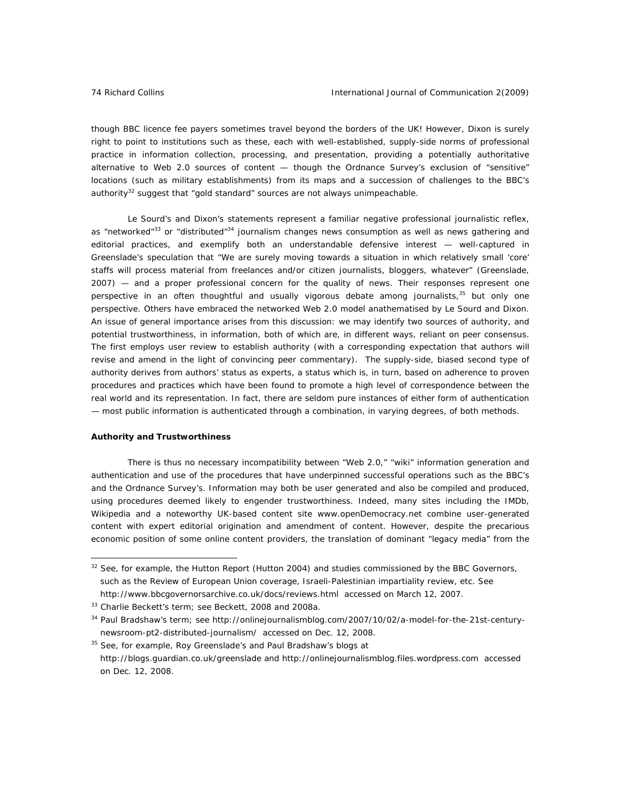though BBC licence fee payers sometimes travel beyond the borders of the UK! However, Dixon is surely right to point to institutions such as these, each with well-established, supply-side norms of professional practice in information collection, processing, and presentation, providing a potentially authoritative alternative to Web 2.0 sources of content — though the *Ordnance Survey's* exclusion of "sensitive" locations (such as military establishments) from its maps and a succession of challenges to the BBC's authority $32$  suggest that "gold standard" sources are not always unimpeachable.

Le Sourd's and Dixon's statements represent a familiar negative professional journalistic reflex, as "networked"<sup>33</sup> or "distributed"<sup>34</sup> journalism changes news consumption as well as news gathering and editorial practices, and exemplify both an understandable defensive interest — well-captured in Greenslade's speculation that "We are surely moving towards a situation in which relatively small 'core' staffs will process material from freelances and/or citizen journalists, bloggers, whatever" (Greenslade, 2007) — and a proper professional concern for the quality of news. Their responses represent one perspective in an often thoughtful and usually vigorous debate among journalists,<sup>35</sup> but only one perspective. Others have embraced the networked Web 2.0 model anathematised by Le Sourd and Dixon. An issue of general importance arises from this discussion: we may identify two sources of authority, and potential trustworthiness, in information, both of which are, in different ways, reliant on peer consensus. The first employs user review to establish authority (with a corresponding expectation that authors will revise and amend in the light of convincing peer commentary). The supply-side, biased second type of authority derives from authors' status as experts, a status which is, in turn, based on adherence to proven procedures and practices which have been found to promote a high level of correspondence between the real world and its representation. In fact, there are seldom pure instances of either form of authentication — most public information is authenticated through a combination, in varying degrees, of both methods.

#### *Authority and Trustworthiness*

 $\overline{a}$ 

There is thus no necessary incompatibility between "Web 2.0," "wiki" information generation and authentication and use of the procedures that have underpinned successful operations such as the BBC's and the *Ordnance Survey*'s. Information may both be user generated and also be compiled and produced, using procedures deemed likely to engender trustworthiness. Indeed, many sites including the *IMDb, Wikipedia* and a noteworthy UK-based content site www.openDemocracy.net combine user-generated content with expert editorial origination and amendment of content. However, despite the precarious economic position of some online content providers, the translation of dominant "legacy media" from the

<sup>&</sup>lt;sup>32</sup> See, for example, the Hutton Report (Hutton 2004) and studies commissioned by the BBC Governors, such as the Review of European Union coverage, Israeli-Palestinian impartiality review, etc. See http://www.bbcgovernorsarchive.co.uk/docs/reviews.html accessed on March 12, 2007.

<sup>&</sup>lt;sup>33</sup> Charlie Beckett's term; see Beckett, 2008 and 2008a.

<sup>&</sup>lt;sup>34</sup> Paul Bradshaw's term; see http://onlinejournalismblog.com/2007/10/02/a-model-for-the-21st-centurynewsroom-pt2-distributed-journalism/ accessed on Dec. 12, 2008.

 $35$  See, for example, Roy Greenslade's and Paul Bradshaw's blogs at

http://blogs.guardian.co.uk/greenslade and http://onlinejournalismblog.files.wordpress.com accessed on Dec. 12, 2008.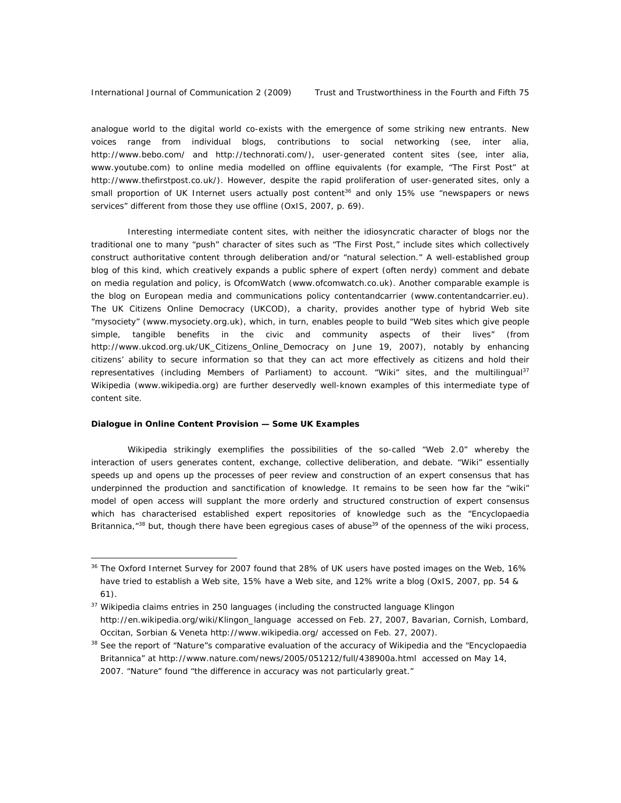analogue world to the digital world co-exists with the emergence of some striking new entrants. New voices range from individual blogs, contributions to social networking (see, *inter alia,*  http://www.bebo.com/ and http://technorati.com/), user-generated content sites (see, *inter alia,* www.youtube.com) to online media modelled on offline equivalents (for example, "*The First Post*" at http://www.thefirstpost.co.uk/). However, despite the rapid proliferation of user-generated sites, only a small proportion of UK Internet users actually post content<sup>36</sup> and only 15% use "newspapers or news services" different from those they use offline (OxIS, 2007, p. 69).

Interesting intermediate content sites, with neither the idiosyncratic character of blogs nor the traditional one to many "push" character of sites such as "*The First Post,*" include sites which collectively construct authoritative content through deliberation and/or "natural selection." A well-established group blog of this kind, which creatively expands a public sphere of expert (often nerdy) comment and debate on media regulation and policy, is *OfcomWatch* (www.ofcomwatch.co.uk). Another comparable example is the blog on European media and communications policy *contentandcarrier* (www.contentandcarrier.eu). The UK Citizens Online Democracy (UKCOD), a charity, provides another type of hybrid Web site "mysociety" (www.mysociety.org.uk), which, in turn, enables people to build "Web sites which give people simple, tangible benefits in the civic and community aspects of their lives" (from http://www.ukcod.org.uk/UK\_Citizens\_Online\_Democracy on June 19, 2007), notably by enhancing citizens' ability to secure information so that they can act more effectively as citizens and hold their representatives (including Members of Parliament) to account. "Wiki" sites, and the multilingual $3^7$ *Wikipedia* (www.wikipedia.org) are further deservedly well-known examples of this intermediate type of content site.

#### *Dialogue in Online Content Provision — Some UK Examples*

 $\overline{a}$ 

*Wikipedia* strikingly exemplifies the possibilities of the so-called "Web 2.0" whereby the interaction of users generates content, exchange, collective deliberation, and debate. "Wiki" essentially speeds up and opens up the processes of peer review and construction of an expert consensus that has underpinned the production and sanctification of knowledge. It remains to be seen how far the "wiki" model of open access will supplant the more orderly and structured construction of expert consensus which has characterised established expert repositories of knowledge such as the "*Encyclopaedia Britannica*,"<sup>38</sup> but, though there have been egregious cases of abuse<sup>39</sup> of the openness of the wiki process,

<sup>&</sup>lt;sup>36</sup> The Oxford Internet Survey for 2007 found that 28% of UK users have posted images on the Web, 16% have tried to establish a Web site, 15% have a Web site, and 12% write a blog (OxIS, 2007, pp. 54 & 61).

<sup>37</sup> *Wikipedia* claims entries in 250 languages (including the constructed language Klingon http://en.wikipedia.org/wiki/Klingon\_language accessed on Feb. 27, 2007, Bavarian, Cornish, Lombard, Occitan, Sorbian & Veneta http://www.wikipedia.org/ accessed on Feb. 27, 2007).

<sup>38</sup> See the report of "*Nature*"s comparative evaluation of the accuracy of Wikipedia and the "*Encyclopaedia Britannica*" at http://www.nature.com/news/2005/051212/full/438900a.html accessed on May 14, 2007. "*Nature*" found "the difference in accuracy was not particularly great."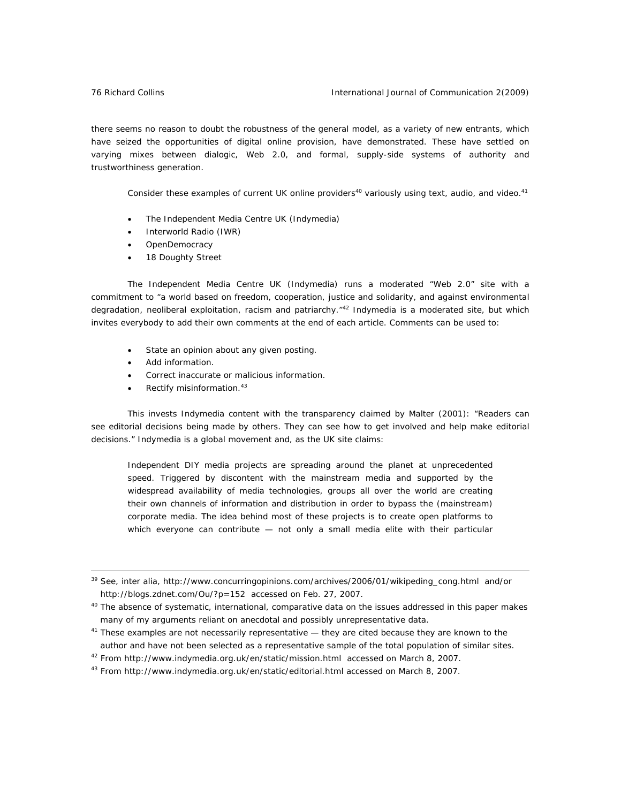there seems no reason to doubt the robustness of the general model, as a variety of new entrants, which have seized the opportunities of digital online provision, have demonstrated. These have settled on varying mixes between dialogic, Web 2.0, and formal, supply-side systems of authority and trustworthiness generation.

Consider these examples of current UK online providers<sup>40</sup> variously using text, audio, and video.<sup>41</sup>

- *The Independent Media Centre UK (Indymedia)*
- *Interworld Radio (IWR)*
- *OpenDemocracy*
- *18 Doughty Street*

The *Independent Media Centre UK (Indymedia)* runs a moderated "Web 2.0" site with a commitment to "a world based on freedom, cooperation, justice and solidarity, and against environmental degradation, neoliberal exploitation, racism and patriarchy."<sup>42</sup> *Indymedia* is a moderated site, but which invites everybody to add their own comments at the end of each article. Comments can be used to:

- State an opinion about any given posting.
- Add information.

 $\overline{a}$ 

- Correct inaccurate or malicious information.
- Rectify misinformation.<sup>43</sup>

This invests *Indymedia* content with the transparency claimed by Malter (2001): "Readers can see editorial decisions being made by others. They can see how to get involved and help make editorial decisions." *Indymedia* is a global movement and, as the UK site claims:

Independent DIY media projects are spreading around the planet at unprecedented speed. Triggered by discontent with the mainstream media and supported by the widespread availability of media technologies, groups all over the world are creating their own channels of information and distribution in order to bypass the (mainstream) corporate media. The idea behind most of these projects is to create open platforms to which everyone can contribute - not only a small media elite with their particular

<sup>39</sup> See, *inter alia,* http://www.concurringopinions.com/archives/2006/01/wikipeding\_cong.html and/or http://blogs.zdnet.com/Ou/?p=152 accessed on Feb. 27, 2007.

<sup>&</sup>lt;sup>40</sup> The absence of systematic, international, comparative data on the issues addressed in this paper makes many of my arguments reliant on anecdotal and possibly unrepresentative data.

 $41$  These examples are not necessarily representative  $-$  they are cited because they are known to the author and have not been selected as a representative sample of the total population of similar sites.

<sup>42</sup> From http://www.indymedia.org.uk/en/static/mission.html accessed on March 8, 2007.

<sup>43</sup> From http://www.indymedia.org.uk/en/static/editorial.html accessed on March 8, 2007.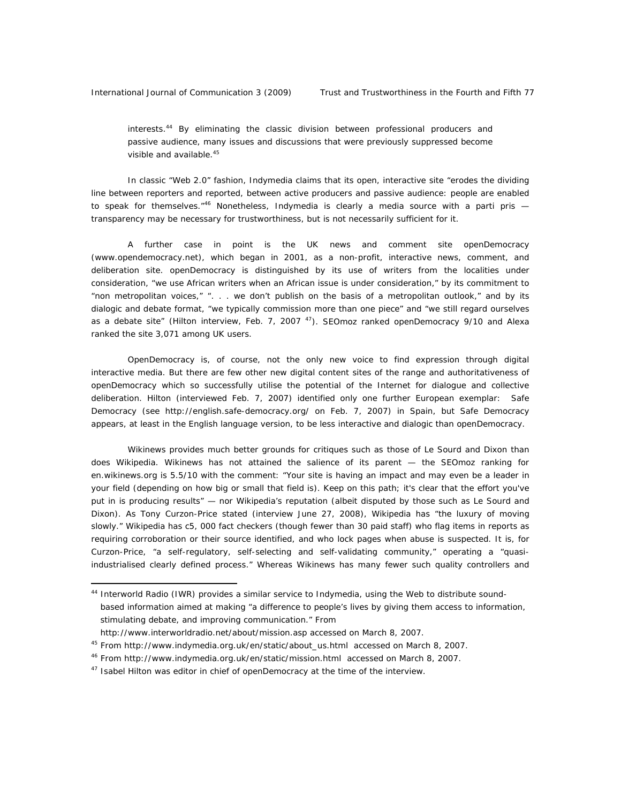interests.44 By eliminating the classic division between professional producers and passive audience, many issues and discussions that were previously suppressed become visible and available.<sup>45</sup>

In classic "Web 2.0" fashion, Indymedia claims that its open, interactive site "erodes the dividing line between reporters and reported, between active producers and passive audience: people are enabled to speak for themselves."46 Nonetheless, *Indymedia* is clearly a media source with a *parti pris*  transparency may be necessary for trustworthiness, but is not necessarily sufficient for it.

A further case in point is the UK news and comment site *openDemocracy*  (www.opendemocracy.net), which began in 2001, as a non-profit, interactive news, comment, and deliberation site. *openDemocracy* is distinguished by its use of writers from the localities under consideration, "we use African writers when an African issue is under consideration," by its commitment to "non metropolitan voices," ". . . we don't publish on the basis of a metropolitan outlook," and by its dialogic and debate format, "we typically commission more than one piece" and "we still regard ourselves as a debate site" (Hilton interview, Feb. 7, 2007<sup>47</sup>). SEOmoz ranked *openDemocracy* 9/10 and Alexa ranked the site 3,071 among UK users.

*OpenDemocracy* is, of course, not the only new voice to find expression through digital interactive media. But there are few other new digital content sites of the range and authoritativeness of *openDemocracy* which so successfully utilise the potential of the Internet for dialogue and collective deliberation. Hilton (interviewed Feb. 7, 2007) identified only one further European exemplar: *Safe Democracy* (see http://english.safe-democracy.org/ on Feb. 7, 2007) in Spain, but *Safe Democracy* appears, at least in the English language version, to be less interactive and dialogic than *openDemocracy*.

*Wikinews* provides much better grounds for critiques such as those of Le Sourd and Dixon than does *Wikipedia*. *Wikinews* has not attained the salience of its parent — the SEOmoz ranking for en.wikinews.org is 5.5/10 with the comment: "Your site is having an impact and may even be a leader in your field (depending on how big or small that field is). Keep on this path; it's clear that the effort you've put in is producing results" — nor *Wikipedia*'s reputation (albeit disputed by those such as Le Sourd and Dixon). As Tony Curzon-Price stated (interview June 27, 2008), Wikipedia has "the luxury of moving slowly." *Wikipedia* has c5, 000 fact checkers (though fewer than 30 paid staff) who flag items in reports as requiring corroboration or their source identified, and who lock pages when abuse is suspected. It is, for Curzon-Price, "a self-regulatory, self-selecting and self-validating community," operating a "quasiindustrialised *clearly* defined process." Whereas *Wikinews* has many fewer such quality controllers and

<sup>44</sup> *Interworld Radio* (IWR) provides a similar service to *Indymedia*, using the Web to distribute soundbased information aimed at making "a difference to people's lives by giving them access to information, stimulating debate, and improving communication." From

http://www.interworldradio.net/about/mission.asp accessed on March 8, 2007.

<sup>45</sup> From http://www.indymedia.org.uk/en/static/about\_us.html accessed on March 8, 2007.

<sup>46</sup> From http://www.indymedia.org.uk/en/static/mission.html accessed on March 8, 2007.

<sup>47</sup> Isabel Hilton was editor in chief of *openDemocracy* at the time of the interview.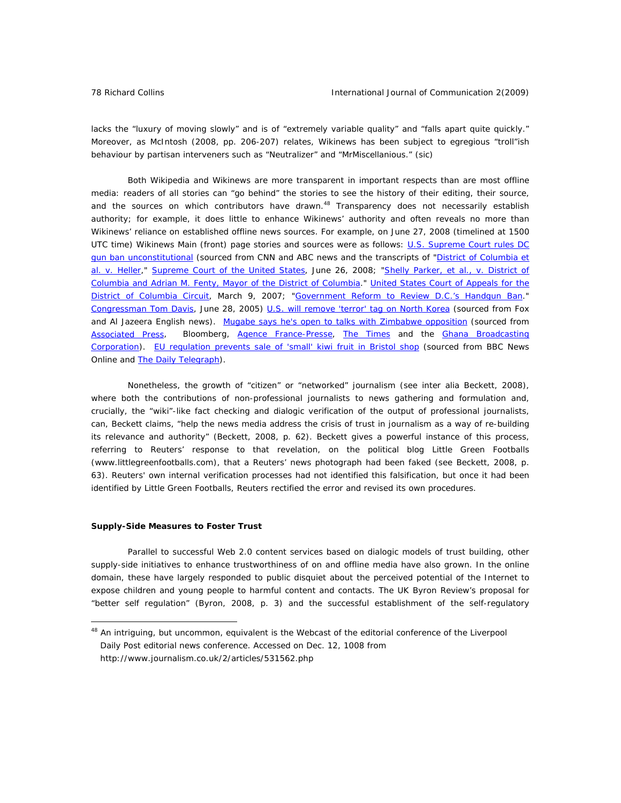lacks the "luxury of moving slowly" and is of "extremely variable quality" and "falls apart quite quickly." Moreover, as McIntosh (2008, pp. 206-207) relates, *Wikinews* has been subject to egregious "troll"ish behaviour by partisan interveners such as "Neutralizer" and "MrMiscellanious.*" (sic)*

Both *Wikipedia* and *Wikinews* are more transparent in important respects than are most offline media: readers of all stories can "go behind" the stories to see the history of their editing, their source, and the sources on which contributors have drawn.<sup>48</sup> Transparency does not necessarily establish authority; for example, it does little to enhance *Wikinews*' authority and often reveals no more than *Wikinews'* reliance on established offline news sources. For example, on June 27, 2008 (timelined at 1500 UTC time) *Wikinews* Main (front) page stories and sources were as follows: *[U.S. Supreme Court rules DC](http://en.wikinews.org/wiki/US_Supreme_Court_rules_DC_gun_ban_unconstitutional) [gun ban unconstitutional](http://en.wikinews.org/wiki/US_Supreme_Court_rules_DC_gun_ban_unconstitutional)* (sourced from CNN and ABC news and the transcripts of "[District of Columbia et](http://www.scotusblog.com/wp/wp-content/uploads/2008/06/07-290.pdf)  [al. v. Heller,](http://www.scotusblog.com/wp/wp-content/uploads/2008/06/07-290.pdf)" [Supreme Court of the United States,](http://en.wikipedia.org/wiki/Supreme_Court_of_the_United_States) June 26, 2008; ["Shelly Parker, et al., v. District of](http://pacer.cadc.uscourts.gov/docs/common/opinions/200703/04-7041a.pdf)  [Columbia and Adrian M. Fenty, Mayor of the District of Columbia.](http://pacer.cadc.uscourts.gov/docs/common/opinions/200703/04-7041a.pdf)" [United States Court of Appeals for the](http://en.wikipedia.org/wiki/United_States_Court_of_Appeals_for_the_District_of_Columbia_Circuit) [District of Columbia Circuit](http://en.wikipedia.org/wiki/United_States_Court_of_Appeals_for_the_District_of_Columbia_Circuit), March 9, 2007; ["Government Reform to Review D.C.'s Handgun Ban.](http://tomdavis.house.gov/cgi-data/news/files/191.shtml)" [Congressman Tom Davis](http://en.wikipedia.org/wiki/Congressman_Tom_Davis), June 28, 2005) *[U.S. will remove 'terror' tag on North Korea](http://en.wikinews.org/wiki/US_will_remove_%27terror%27_tag_on_North_Korea)* (sourced from Fox and Al Jazeera English news). *[Mugabe says he's open to talks with Zimbabwe opposition](http://en.wikinews.org/wiki/Mugabe_says_he%27s_open_to_talks_with_Zimbabwe_opposition)* (sourced from *[Associated Press,](http://en.wikipedia.org/wiki/Associated_Press) Bloomberg, [Agence France-Presse,](http://en.wikipedia.org/wiki/Agence_France-Presse) [The Times](http://en.wikipedia.org/wiki/The_Times)* and the [Ghana Broadcasting](http://en.wikipedia.org/wiki/Ghana_Broadcasting_Corporation) [Corporation](http://en.wikipedia.org/wiki/Ghana_Broadcasting_Corporation)). *[EU regulation prevents sale of 'small' kiwi fruit in Bristol shop](http://en.wikinews.org/wiki/EU_regulation_prevents_sale_of_%27small%27_kiwi_fruit_in_Bristol_shop)* (sourced from BBC News Online and *[The Daily Telegraph\)](http://en.wikipedia.org/wiki/The_Daily_Telegraph)*.

Nonetheless, the growth of "citizen" or "networked" journalism (see *inter alia* Beckett, 2008), where both the contributions of non-professional journalists to news gathering and formulation and, crucially, the "wiki"-like fact checking and dialogic verification of the output of professional journalists, can, Beckett claims, "help the news media address the crisis of trust in journalism as a way of re-building its relevance and authority" (Beckett, 2008, p. 62). Beckett gives a powerful instance of this process, referring to Reuters' response to that revelation, on the political blog *Little Green Footballs*  (www.littlegreenfootballs.com), that a Reuters' news photograph had been faked (see Beckett, 2008, p. 63). Reuters' own internal verification processes had not identified this falsification, but once it had been identified by *Little Green Footballs*, Reuters rectified the error and revised its own procedures.

#### *Supply-Side Measures to Foster Trust*

 $\overline{a}$ 

Parallel to successful Web 2.0 content services based on dialogic models of trust building, other supply-side initiatives to enhance trustworthiness of on and offline media have also grown. In the online domain, these have largely responded to public disquiet about the perceived potential of the Internet to expose children and young people to harmful content and contacts. The UK Byron Review's proposal for "better self regulation" (Byron, 2008, p. 3) and the successful establishment of the self-regulatory

<sup>48</sup> An intriguing, but uncommon, equivalent is the Webcast of the editorial conference of the *Liverpool Daily Post* editorial news conference. Accessed on Dec. 12, 1008 from http://www.journalism.co.uk/2/articles/531562.php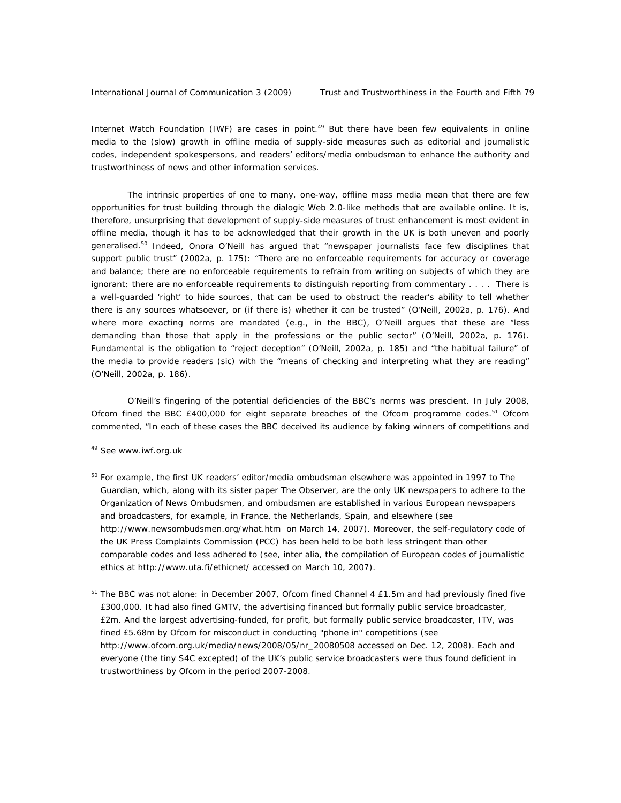Internet Watch Foundation (IWF) are cases in point.<sup>49</sup> But there have been few equivalents in online media to the (slow) growth in offline media of supply-side measures such as editorial and journalistic codes, independent spokespersons, and readers' editors/media ombudsman to enhance the authority and trustworthiness of news and other information services.

The intrinsic properties of one to many, one-way, offline mass media mean that there are few opportunities for trust building through the dialogic Web 2.0-like methods that are available online. It is, therefore, unsurprising that development of supply-side measures of trust enhancement is most evident in offline media, though it has to be acknowledged that their growth in the UK is both uneven and poorly generalised.<sup>50</sup> Indeed, Onora O'Neill has argued that "newspaper journalists face few disciplines that support public trust" (2002a, p. 175): "There are no enforceable requirements for accuracy or coverage and balance; there are no enforceable requirements to refrain from writing on subjects of which they are ignorant; there are no enforceable requirements to distinguish reporting from commentary . . . . There is a well-guarded 'right' to hide sources, that can be used to obstruct the reader's ability to tell whether there is any sources whatsoever, or (if there is) whether it can be trusted" (O'Neill, 2002a, p. 176). And where more exacting norms are mandated (e.g., in the BBC), O'Neill argues that these are "less demanding than those that apply in the professions or the public sector" (O'Neill, 2002a, p. 176). Fundamental is the obligation to "reject deception" (O'Neill, 2002a, p. 185) and "the habitual failure" of the media to provide readers (*sic*) with the "means of checking and interpreting what they are reading" (O'Neill, 2002a, p. 186).

O'Neill's fingering of the potential deficiencies of the BBC's norms was prescient. In July 2008, Ofcom fined the BBC £400,000 for eight separate breaches of the Ofcom programme codes.<sup>51</sup> Ofcom commented, "In each of these cases the BBC deceived its audience by faking winners of competitions and

 $\overline{a}$ 

51 The BBC was not alone: in December 2007, Ofcom fined Channel 4 £1.5m and had previously fined *five*  £300,000. It had also fined GMTV, the advertising financed but formally public service broadcaster, £2m. And the largest advertising-funded, for profit, but formally public service broadcaster, ITV, was fined £5.68m by Ofcom for misconduct in conducting "phone in" competitions (see http://www.ofcom.org.uk/media/news/2008/05/nr\_20080508 accessed on Dec. 12, 2008). Each and everyone (the tiny S4C excepted) of the UK's public service broadcasters were thus found deficient in trustworthiness by Ofcom in the period 2007-2008.

<sup>49</sup> See www.iwf.org.uk

<sup>50</sup> For example, the first UK readers' editor/media ombudsman elsewhere was appointed in 1997 to *The Guardian*, which, along with its sister paper *The Observer*, are the only UK newspapers to adhere to the Organization of News Ombudsmen, and ombudsmen are established in various European newspapers and broadcasters, for example, in France, the Netherlands, Spain, and elsewhere (see http://www.newsombudsmen.org/what.htm on March 14, 2007). Moreover, the self-regulatory code of the UK Press Complaints Commission (PCC) has been held to be both less stringent than other comparable codes and less adhered to (see, inter alia, the compilation of European codes of journalistic ethics at http://www.uta.fi/ethicnet/ accessed on March 10, 2007).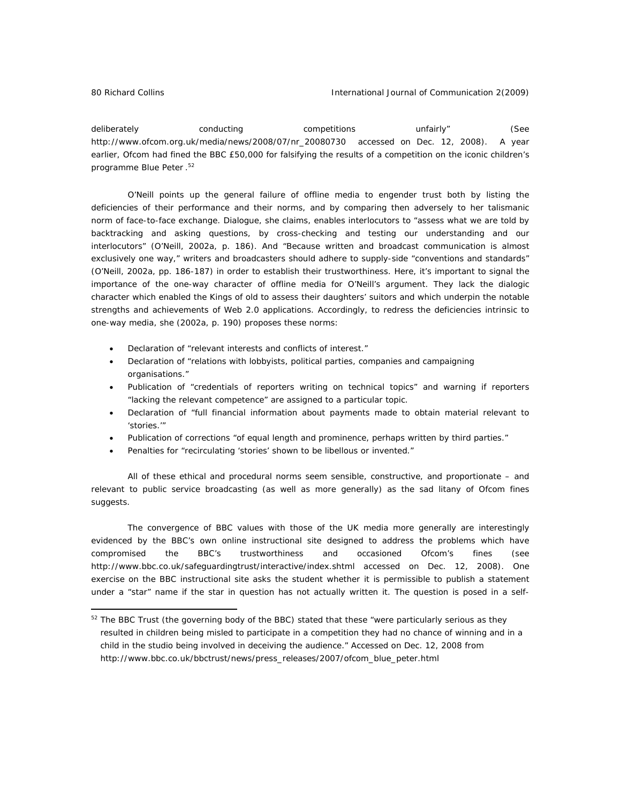$\overline{a}$ 

deliberately conducting competitions unfairly" (See http://www.ofcom.org.uk/media/news/2008/07/nr\_20080730 accessed on Dec. 12, 2008). A year earlier, Ofcom had fined the BBC £50,000 for falsifying the results of a competition on the iconic children's programme *Blue Peter* . 52

O'Neill points up the general failure of offline media to engender trust both by listing the deficiencies of their performance and their norms, and by comparing then adversely to her talismanic norm of face-to-face exchange. Dialogue, she claims, enables interlocutors to "assess what we are told by backtracking and asking questions, by cross-checking and testing our understanding and our interlocutors" (O'Neill, 2002a, p. 186). And "Because written and broadcast communication is almost exclusively one way," writers and broadcasters should adhere to supply-side "conventions and standards" (O'Neill, 2002a, pp. 186-187) in order to establish their trustworthiness. Here, it's important to signal the importance of the one-way character of offline media for O'Neill's argument. They lack the dialogic character which enabled the Kings of old to assess their daughters' suitors and which underpin the notable strengths and achievements of Web 2.0 applications. Accordingly, to redress the deficiencies intrinsic to one-way media, she (2002a, p. 190) proposes these norms:

- Declaration of "relevant interests and conflicts of interest."
- Declaration of "relations with lobbyists, political parties, companies and campaigning organisations."
- Publication of "credentials of reporters writing on technical topics" and warning if reporters "lacking the relevant competence" are assigned to a particular topic.
- Declaration of "full financial information about payments made to obtain material relevant to 'stories.'"
- Publication of corrections "of equal length and prominence, perhaps written by third parties."
- Penalties for "recirculating 'stories' shown to be libellous or invented."

All of these ethical and procedural norms seem sensible, constructive, and proportionate – and relevant to public service broadcasting (as well as more generally) as the sad litany of Ofcom fines suggests.

The convergence of BBC values with those of the UK media more generally are interestingly evidenced by the BBC's own online instructional site designed to address the problems which have compromised the BBC's trustworthiness and occasioned Ofcom's fines (see http://www.bbc.co.uk/safeguardingtrust/interactive/index.shtml accessed on Dec. 12, 2008). One exercise on the BBC instructional site asks the student whether it is permissible to publish a statement under a "star" name if the star in question has not actually written it. The question is posed in a self-

 $52$  The BBC Trust (the governing body of the BBC) stated that these "were particularly serious as they resulted in children being misled to participate in a competition they had no chance of winning and in a child in the studio being involved in deceiving the audience." Accessed on Dec. 12, 2008 from http://www.bbc.co.uk/bbctrust/news/press\_releases/2007/ofcom\_blue\_peter.html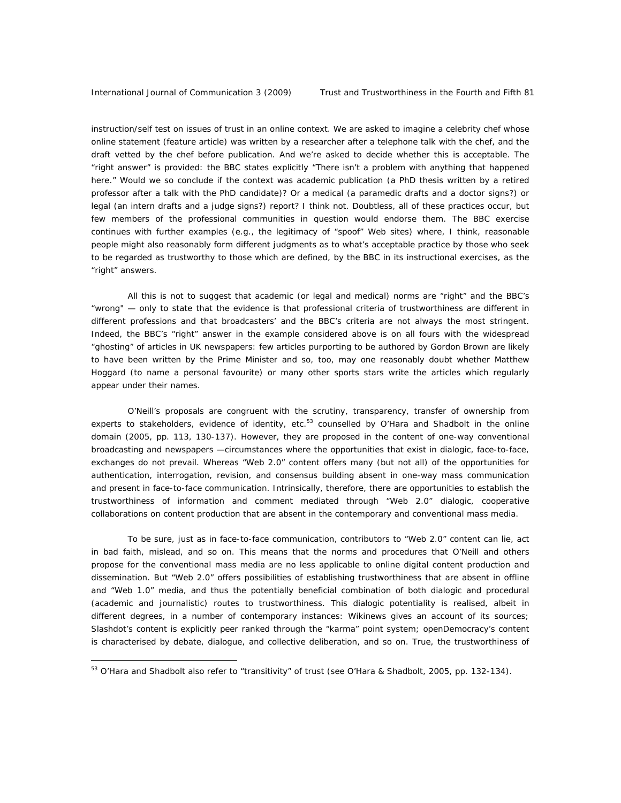instruction/self test on issues of trust in an online context. We are asked to imagine a celebrity chef whose online statement (feature article) was written by a researcher after a telephone talk with the chef, and the draft vetted by the chef before publication. And we're asked to decide whether this is acceptable. The "right answer" is provided: the BBC states explicitly "There isn't a problem with anything that happened here." Would we so conclude if the context was academic publication (a PhD thesis written by a retired professor after a talk with the PhD candidate)? Or a medical (a paramedic drafts and a doctor signs?) or legal (an intern drafts and a judge signs?) report? I think not. Doubtless, all of these practices occur, but few members of the professional communities in question would endorse them. The BBC exercise continues with further examples (e.g., the legitimacy of "spoof" Web sites) where, I think, reasonable people might also reasonably form different judgments as to what's acceptable practice by those who seek to be regarded as trustworthy to those which are defined, by the BBC in its instructional exercises, as the "right" answers.

All this is not to suggest that academic (or legal and medical) norms are "right" and the BBC's "wrong" — only to state that the evidence is that professional criteria of trustworthiness are different in different professions and that broadcasters' and the BBC's criteria are not always the most stringent. Indeed, the BBC's "right" answer in the example considered above is on all fours with the widespread "ghosting" of articles in UK newspapers: few articles purporting to be authored by Gordon Brown are likely to have been written by the Prime Minister and so, too, may one reasonably doubt whether Matthew Hoggard (to name a personal favourite) or many other sports stars write the articles which regularly appear under their names.

O'Neill's proposals are congruent with the scrutiny, transparency, transfer of ownership from experts to stakeholders, evidence of identity, etc.<sup>53</sup> counselled by O'Hara and Shadbolt in the online domain (2005, pp. 113, 130-137). However, they are proposed in the content of one-way conventional broadcasting and newspapers —circumstances where the opportunities that exist in dialogic, face-to-face, exchanges do not prevail. Whereas "Web 2.0" content offers many (but not all) of the opportunities for authentication, interrogation, revision, and consensus building absent in one-way mass communication and present in face-to-face communication. Intrinsically, therefore, there are opportunities to establish the trustworthiness of information and comment mediated through "Web 2.0" dialogic, cooperative collaborations on content production that are absent in the contemporary and conventional mass media.

To be sure, just as in face-to-face communication, contributors to "Web 2.0" content can lie, act in bad faith, mislead, and so on. This means that the norms and procedures that O'Neill and others propose for the conventional mass media are no less applicable to online digital content production and dissemination. But "Web 2.0" offers possibilities of establishing trustworthiness that are absent in offline and "Web 1.0" media, and thus the potentially beneficial combination of both dialogic and procedural (academic and journalistic) routes to trustworthiness. This dialogic potentiality is realised, albeit in different degrees, in a number of contemporary instances: *Wikinews* gives an account of its sources; *Slashdot's* content is explicitly peer ranked through the "karma" point system; *openDemocracy*'s content is characterised by debate, dialogue, and collective deliberation, and so on. True, the trustworthiness of

<sup>53</sup> O'Hara and Shadbolt also refer to "transitivity" of trust (see O'Hara & Shadbolt, 2005, pp. 132-134).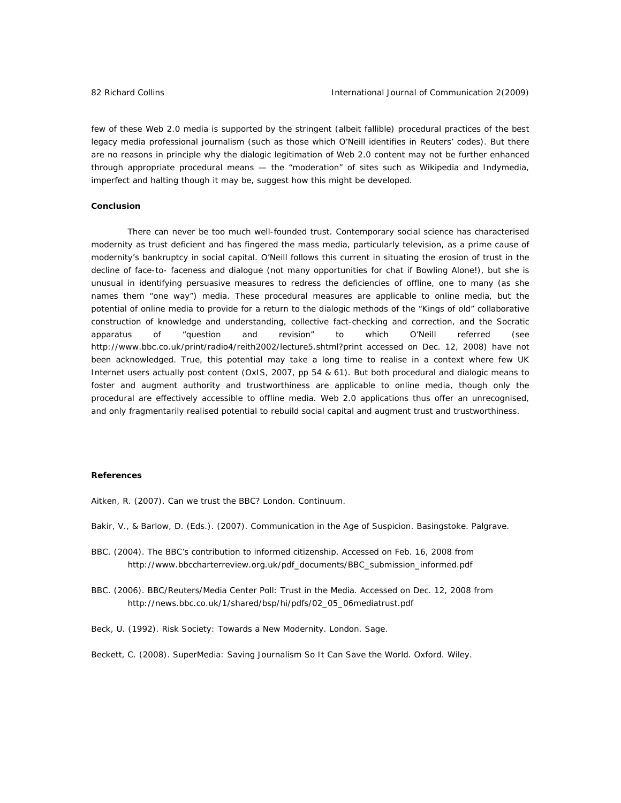few of these Web 2.0 media is supported by the stringent (albeit fallible) procedural practices of the best legacy media professional journalism (such as those which O'Neill identifies in Reuters' codes). But there are no reasons in principle why the dialogic legitimation of Web 2.0 content may not be further enhanced through appropriate procedural means — the "moderation" of sites such as *Wikipedia* and *Indymedia*, imperfect and halting though it may be, suggest how this might be developed.

### *Conclusion*

There can never be too much well-founded trust. Contemporary social science has characterised modernity as trust deficient and has fingered the mass media, particularly television, as a prime cause of modernity's bankruptcy in social capital. O'Neill follows this current in situating the erosion of trust in the decline of face-to- faceness and dialogue (not many opportunities for chat if *Bowling Alone*!), but she is unusual in identifying persuasive measures to redress the deficiencies of offline, one to many (as she names them "one way") media. These procedural measures are applicable to online media, but the potential of online media to provide for a return to the dialogic methods of the "Kings of old" collaborative construction of knowledge and understanding, collective fact-checking and correction, and the Socratic apparatus of "question and revision" to which O'Neill referred (see http://www.bbc.co.uk/print/radio4/reith2002/lecture5.shtml?print accessed on Dec. 12, 2008) have not been acknowledged. True, this potential may take a long time to realise in a context where few UK Internet users actually post content (OxIS, 2007, pp 54 & 61). But both procedural and dialogic means to foster and augment authority and trustworthiness are applicable to online media, though only the procedural are effectively accessible to offline media. Web 2.0 applications thus offer an unrecognised, and only fragmentarily realised potential to rebuild social capital and augment trust and trustworthiness.

#### **References**

Aitken, R. (2007). *Can we trust the BBC?* London. Continuum.

Bakir, V., & Barlow, D. (Eds.). (2007). *Communication in the Age of Suspicion.* Basingstoke. Palgrave.

- BBC. (2004). *The BBC's contribution to informed citizenship.* Accessed on Feb. 16, 2008 from http://www.bbccharterreview.org.uk/pdf\_documents/BBC\_submission\_informed.pdf
- BBC. (2006). *BBC/Reuters/Media Center Poll: Trust in the Media.* Accessed on Dec. 12, 2008 from http://news.bbc.co.uk/1/shared/bsp/hi/pdfs/02\_05\_06mediatrust.pdf

Beck, U. (1992). *Risk Society: Towards a New Modernity*. London. Sage.

Beckett, C. (2008). *SuperMedia: Saving Journalism So It Can Save the World.* Oxford. Wiley.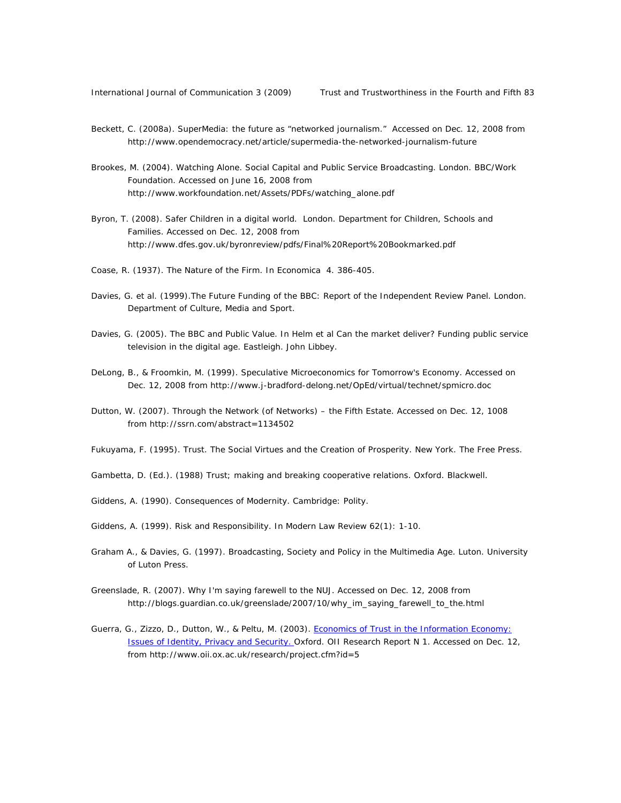- Beckett, C. (2008a). *SuperMedia: the future as "networked journalism."* Accessed on Dec. 12, 2008 from http://www.opendemocracy.net/article/supermedia-the-networked-journalism-future
- Brookes, M. (2004). *Watching Alone. Social Capital and Public Service Broadcasting.* London. BBC/Work Foundation. Accessed on June 16, 2008 from http://www.workfoundation.net/Assets/PDFs/watching\_alone.pdf
- Byron, T. (2008). *Safer Children in a digital world.* London. Department for Children, Schools and Families. Accessed on Dec. 12, 2008 from http://www.dfes.gov.uk/byronreview/pdfs/Final%20Report%20Bookmarked.pdf
- Coase, R. (1937). The Nature of the Firm. In *Economica* 4. 386-405.
- Davies, G. *et al.* (1999).*The Future Funding of the BBC: Report of the Independent Review Panel*. London. Department of Culture, Media and Sport.
- Davies, G. (2005). The BBC and Public Value. In Helm *et al Can the market deliver? Funding public service television in the digital age.* Eastleigh. John Libbey.
- DeLong, B., & Froomkin, M. (1999). *Speculative Microeconomics for Tomorrow's Economy*. Accessed on Dec. 12, 2008 from http://www.j-bradford-delong.net/OpEd/virtual/technet/spmicro.doc
- Dutton, W. (2007). *Through the Network (of Networks) the Fifth Estate.* Accessed on Dec. 12, 1008 from http://ssrn.com/abstract=1134502
- Fukuyama, F. (1995). *Trust. The Social Virtues and the Creation of Prosperity*. New York. The Free Press.
- Gambetta, D. (Ed.). (1988) *Trust; making and breaking cooperative relations.* Oxford. Blackwell.
- Giddens, A. (1990). *Consequences of Modernity*. Cambridge: Polity.
- Giddens, A. (1999). Risk and Responsibility. In *Modern Law Review* 62(1): 1-10.
- Graham A., & Davies, G. (1997). *Broadcasting, Society and Policy in the Multimedia Age.* Luton. University of Luton Press.
- Greenslade, R. (2007). *Why I'm saying farewell to the NUJ.* Accessed on Dec. 12, 2008 from http://blogs.guardian.co.uk/greenslade/2007/10/why\_im\_saying\_farewell\_to\_the.html
- Guerra, G., Zizzo, D., Dutton, W., & Peltu, M. (2003). *[Economics of Trust in the Information Economy:](http://www.oii.ox.ac.uk/resources/publications/RR1.pdf)  [Issues of Identity, Privacy and Security.](http://www.oii.ox.ac.uk/resources/publications/RR1.pdf)* Oxford. OII Research Report N 1. Accessed on Dec. 12, from http://www.oii.ox.ac.uk/research/project.cfm?id=5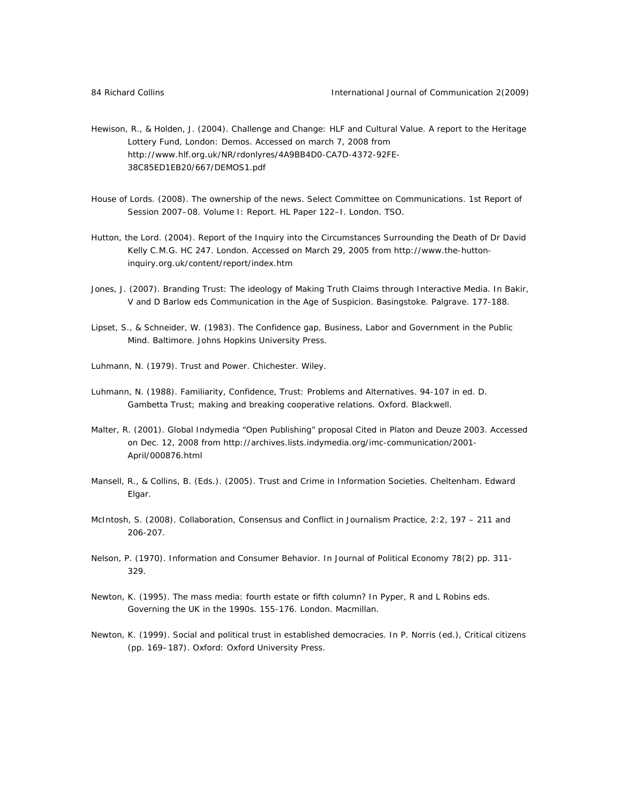- Hewison, R., & Holden, J. (2004). *Challenge and Change: HLF and Cultural Value. A report to the Heritage Lottery Fund*, London: Demos. Accessed on march 7, 2008 from http://www.hlf.org.uk/NR/rdonlyres/4A9BB4D0-CA7D-4372-92FE-38C85ED1EB20/667/DEMOS1.pdf
- House of Lords. (2008). *The ownership of the news.* Select Committee on Communications. 1st Report of Session 2007–08. Volume I: Report. HL Paper 122–I. London. TSO.
- Hutton, the Lord. (2004). *Report of the Inquiry into the Circumstances Surrounding the Death of Dr David Kelly C.M.G.* HC 247. London. Accessed on March 29, 2005 from http://www.the-huttoninquiry.org.uk/content/report/index.htm
- Jones, J. (2007). Branding Trust: The ideology of Making Truth Claims through Interactive Media. In Bakir, V and D Barlow eds *Communication in the Age of Suspicion.* Basingstoke. Palgrave. 177-188.
- Lipset, S., & Schneider, W. (1983). *The Confidence gap, Business, Labor and Government in the Public Mind.* Baltimore. Johns Hopkins University Press.
- Luhmann, N. (1979). *Trust and Power.* Chichester. Wiley.
- Luhmann, N. (1988). Familiarity, Confidence, Trust: Problems and Alternatives. 94-107 in ed. D. Gambetta *Trust; making and breaking cooperative relations.* Oxford. Blackwell.
- Malter, R. (2001). *Global Indymedia "Open Publishing" proposal* Cited in Platon and Deuze 2003. Accessed on Dec. 12, 2008 from http://archives.lists.indymedia.org/imc-communication/2001- April/000876.html
- Mansell, R., & Collins, B. (Eds.). (2005). *Trust and Crime in Information Societies.* Cheltenham. Edward Elgar.
- McIntosh, S. (2008). Collaboration, Consensus and Conflict in *Journalism Practice*, 2:2, 197 211 and 206-207.
- Nelson, P. (1970). Information and Consumer Behavior. In *Journal of Political Economy* 78(2) pp. 311- 329.
- Newton, K. (1995). The mass media: fourth estate or fifth column? In Pyper, R and L Robins eds. *Governing the UK in the 1990s*. 155-176. London. Macmillan.
- Newton, K. (1999). Social and political trust in established democracies. In P. Norris (ed.), *Critical citizens* (pp. 169–187). Oxford: Oxford University Press.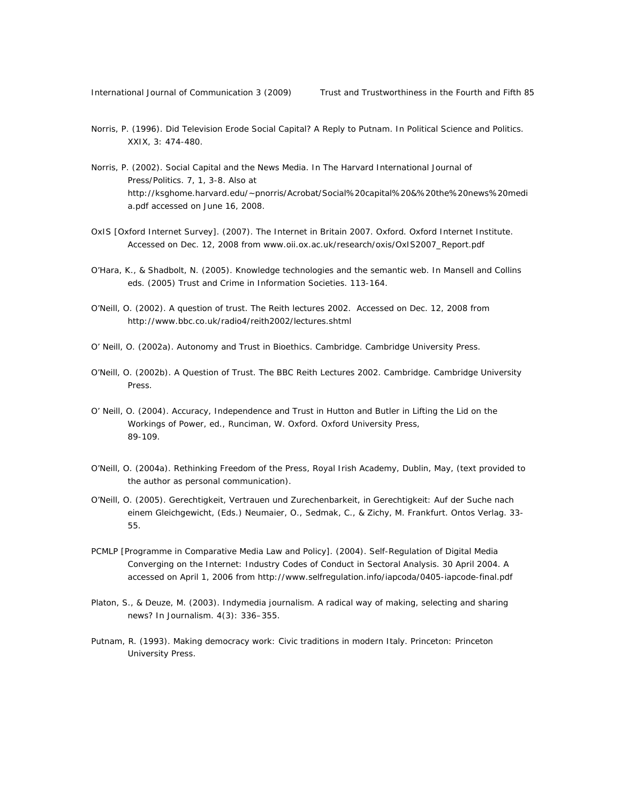- Norris, P. (1996). Did Television Erode Social Capital? A Reply to Putnam. In *Political Science and Politics.*  XXIX, 3: 474-480.
- Norris, P. (2002). Social Capital and the News Media. In *The Harvard International Journal of Press/Politics*. 7, 1, 3-8. Also at http://ksghome.harvard.edu/~pnorris/Acrobat/Social%20capital%20&%20the%20news%20medi a.pdf accessed on June 16, 2008.
- OxIS [Oxford Internet Survey]. (2007). *The Internet in Britain 2007*. Oxford. Oxford Internet Institute. Accessed on Dec. 12, 2008 from www.oii.ox.ac.uk/research/oxis/OxIS2007\_Report.pdf
- O'Hara, K., & Shadbolt, N. (2005). Knowledge technologies and the semantic web. In Mansell and Collins eds. (2005) *Trust and Crime in Information Societies.* 113-164.
- O'Neill, O. (2002). *A question of trust. The Reith lectures 2002.* Accessed on Dec. 12, 2008 from http://www.bbc.co.uk/radio4/reith2002/lectures.shtml
- O' Neill, O. (2002a). *Autonomy and Trust in Bioethics*. Cambridge. Cambridge University Press.
- O'Neill, O. (2002b). *A Question of Trust. The BBC Reith Lectures 2002.* Cambridge. Cambridge University Press.
- O' Neill, O. (2004). Accuracy, Independence and Trust in Hutton and Butler in *Lifting the Lid on the Workings of Power*, ed., Runciman, W. Oxford. Oxford University Press, 89-109.
- O'Neill, O. (2004a). *Rethinking Freedom of the Press*, Royal Irish Academy, Dublin, May, (text provided to the author as personal communication).
- O'Neill, O. (2005). Gerechtigkeit, Vertrauen und Zurechenbarkeit, in *Gerechtigkeit: Auf der Suche nach einem Gleichgewicht,* (Eds.) Neumaier, O., Sedmak, C., & Zichy, M. Frankfurt. Ontos Verlag. 33- 55.
- PCMLP [Programme in Comparative Media Law and Policy]. (2004). *Self-Regulation of Digital Media Converging on the Internet: Industry Codes of Conduct in Sectoral Analysis. 30 April 2004.* A accessed on April 1, 2006 from http://www.selfregulation.info/iapcoda/0405-iapcode-final.pdf
- Platon, S., & Deuze, M. (2003). Indymedia journalism. A radical way of making, selecting and sharing news? In *Journalism.* 4(3): 336–355.
- Putnam, R. (1993). *Making democracy work: Civic traditions in modern Italy.* Princeton: Princeton University Press.